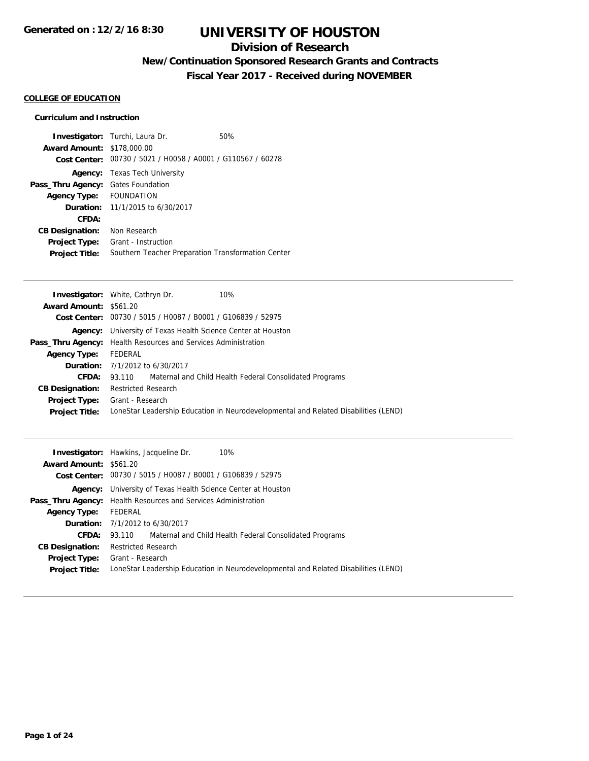## **Division of Research**

## **New/Continuation Sponsored Research Grants and Contracts**

**Fiscal Year 2017 - Received during NOVEMBER**

## **COLLEGE OF EDUCATION**

## **Curriculum and Instruction**

| <b>Award Amount: \$178,000.00</b> | <b>Investigator:</b> Turchi, Laura Dr.<br>Cost Center: 00730 / 5021 / H0058 / A0001 / G110567 / 60278 | 50% |
|-----------------------------------|-------------------------------------------------------------------------------------------------------|-----|
|                                   | <b>Agency:</b> Texas Tech University                                                                  |     |
| Pass_Thru Agency:                 | <b>Gates Foundation</b>                                                                               |     |
| Agency Type: FOUNDATION           |                                                                                                       |     |
|                                   | <b>Duration:</b> 11/1/2015 to 6/30/2017                                                               |     |
| CFDA:                             |                                                                                                       |     |
| <b>CB Designation:</b>            | Non Research                                                                                          |     |
| <b>Project Type:</b>              | Grant - Instruction                                                                                   |     |
| <b>Project Title:</b>             | Southern Teacher Preparation Transformation Center                                                    |     |

| 10%<br><b>Investigator:</b> White, Cathryn Dr.                                      |
|-------------------------------------------------------------------------------------|
| <b>Award Amount: \$561.20</b>                                                       |
| Cost Center: 00730 / 5015 / H0087 / B0001 / G106839 / 52975                         |
| <b>Agency:</b> University of Texas Health Science Center at Houston                 |
| <b>Pass_Thru Agency:</b> Health Resources and Services Administration               |
| FEDERAL                                                                             |
| <b>Duration:</b> $7/1/2012$ to $6/30/2017$                                          |
| <b>CFDA:</b> 93.110 Maternal and Child Health Federal Consolidated Programs         |
| <b>Restricted Research</b>                                                          |
| <b>Project Type:</b> Grant - Research                                               |
| LoneStar Leadership Education in Neurodevelopmental and Related Disabilities (LEND) |
|                                                                                     |

|                               | <b>Investigator:</b> Hawkins, Jacqueline Dr.<br>10%                                 |
|-------------------------------|-------------------------------------------------------------------------------------|
| <b>Award Amount: \$561.20</b> |                                                                                     |
|                               | Cost Center: 00730 / 5015 / H0087 / B0001 / G106839 / 52975                         |
|                               | <b>Agency:</b> University of Texas Health Science Center at Houston                 |
|                               | <b>Pass_Thru Agency:</b> Health Resources and Services Administration               |
| <b>Agency Type:</b>           | FEDERAL                                                                             |
|                               | <b>Duration:</b> 7/1/2012 to 6/30/2017                                              |
|                               | <b>CFDA:</b> 93.110 Maternal and Child Health Federal Consolidated Programs         |
| <b>CB Designation:</b>        | <b>Restricted Research</b>                                                          |
| <b>Project Type:</b>          | Grant - Research                                                                    |
| <b>Project Title:</b>         | LoneStar Leadership Education in Neurodevelopmental and Related Disabilities (LEND) |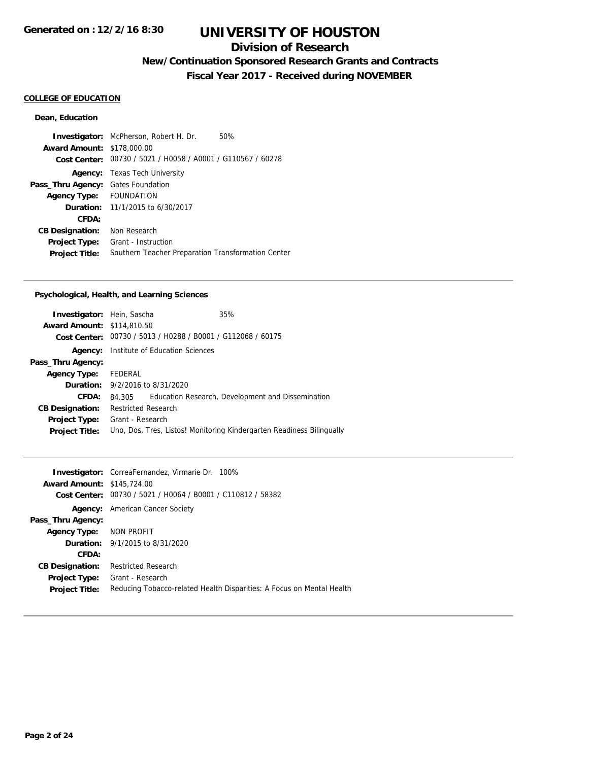## **Division of Research**

## **New/Continuation Sponsored Research Grants and Contracts**

**Fiscal Year 2017 - Received during NOVEMBER**

#### **COLLEGE OF EDUCATION**

## **Dean, Education**

**Investigator:** McPherson, Robert H. Dr. 50% **Award Amount:** \$178,000.00 **Cost Center:** 00730 / 5021 / H0058 / A0001 / G110567 / 60278 **Agency:** Texas Tech University **Pass\_Thru Agency:** Gates Foundation **Agency Type:** FOUNDATION **Duration:** 11/1/2015 to 6/30/2017 **CFDA: CB Designation:** Non Research **Project Type:** Grant - Instruction **Project Title:** Southern Teacher Preparation Transformation Center

#### **Psychological, Health, and Learning Sciences**

| <b>Investigator:</b> Hein, Sascha |                                        |                                                | 35%                                                                   |
|-----------------------------------|----------------------------------------|------------------------------------------------|-----------------------------------------------------------------------|
| <b>Award Amount: \$114,810.50</b> |                                        |                                                |                                                                       |
| Cost Center:                      |                                        | 00730 / 5013 / H0288 / B0001 / G112068 / 60175 |                                                                       |
| Agency:                           |                                        | Institute of Education Sciences                |                                                                       |
| Pass_Thru Agency:                 |                                        |                                                |                                                                       |
| <b>Agency Type:</b> FEDERAL       |                                        |                                                |                                                                       |
|                                   | <b>Duration:</b> 9/2/2016 to 8/31/2020 |                                                |                                                                       |
| CFDA:                             | 84.305                                 |                                                | Education Research, Development and Dissemination                     |
| <b>CB Designation:</b>            | <b>Restricted Research</b>             |                                                |                                                                       |
| <b>Project Type:</b>              | Grant - Research                       |                                                |                                                                       |
| <b>Project Title:</b>             |                                        |                                                | Uno, Dos, Tres, Listos! Monitoring Kindergarten Readiness Bilingually |
|                                   |                                        |                                                |                                                                       |

|                                   | <b>Investigator:</b> CorreaFernandez, Virmarie Dr. 100%               |
|-----------------------------------|-----------------------------------------------------------------------|
| <b>Award Amount: \$145,724.00</b> |                                                                       |
| Cost Center:                      | 00730 / 5021 / H0064 / B0001 / C110812 / 58382                        |
|                                   | <b>Agency:</b> American Cancer Society                                |
| Pass_Thru Agency:                 |                                                                       |
| Agency Type: NON PROFIT           |                                                                       |
|                                   | <b>Duration:</b> 9/1/2015 to 8/31/2020                                |
| CFDA:                             |                                                                       |
| <b>CB Designation:</b>            | <b>Restricted Research</b>                                            |
| <b>Project Type:</b>              | Grant - Research                                                      |
| <b>Project Title:</b>             | Reducing Tobacco-related Health Disparities: A Focus on Mental Health |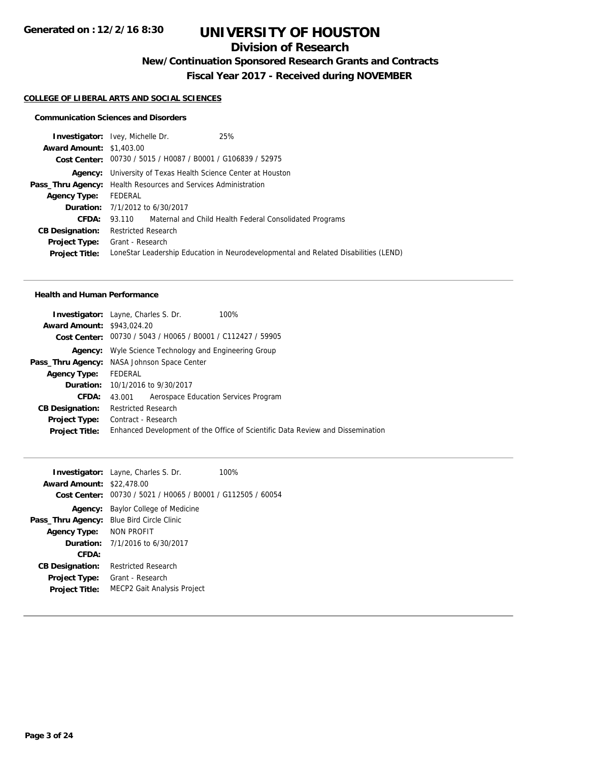## **Division of Research**

**New/Continuation Sponsored Research Grants and Contracts**

**Fiscal Year 2017 - Received during NOVEMBER**

## **COLLEGE OF LIBERAL ARTS AND SOCIAL SCIENCES**

#### **Communication Sciences and Disorders**

| <b>Investigator:</b> Ivey, Michelle Dr.                               |                            |                                                             | 25%                                                                                 |
|-----------------------------------------------------------------------|----------------------------|-------------------------------------------------------------|-------------------------------------------------------------------------------------|
| <b>Award Amount: \$1,403.00</b>                                       |                            |                                                             |                                                                                     |
|                                                                       |                            | Cost Center: 00730 / 5015 / H0087 / B0001 / G106839 / 52975 |                                                                                     |
|                                                                       |                            |                                                             | <b>Agency:</b> University of Texas Health Science Center at Houston                 |
| <b>Pass_Thru Agency:</b> Health Resources and Services Administration |                            |                                                             |                                                                                     |
| <b>Agency Type:</b>                                                   | FEDERAL                    |                                                             |                                                                                     |
|                                                                       |                            | <b>Duration:</b> 7/1/2012 to 6/30/2017                      |                                                                                     |
| CFDA:                                                                 |                            |                                                             | 93.110 Maternal and Child Health Federal Consolidated Programs                      |
| <b>CB Designation:</b>                                                | <b>Restricted Research</b> |                                                             |                                                                                     |
| <b>Project Type:</b> Grant - Research                                 |                            |                                                             |                                                                                     |
| <b>Project Title:</b>                                                 |                            |                                                             | LoneStar Leadership Education in Neurodevelopmental and Related Disabilities (LEND) |
|                                                                       |                            |                                                             |                                                                                     |

#### **Health and Human Performance**

| <b>Award Amount: \$943,024.20</b> | <b>Investigator:</b> Layne, Charles S. Dr.         | 100%                                                                           |
|-----------------------------------|----------------------------------------------------|--------------------------------------------------------------------------------|
|                                   |                                                    |                                                                                |
| Cost Center:                      | 00730 / 5043 / H0065 / B0001 / C112427 / 59905     |                                                                                |
| Agency:                           | Wyle Science Technology and Engineering Group      |                                                                                |
|                                   | <b>Pass_Thru Agency:</b> NASA Johnson Space Center |                                                                                |
| <b>Agency Type:</b>               | FEDERAL                                            |                                                                                |
|                                   | <b>Duration:</b> 10/1/2016 to 9/30/2017            |                                                                                |
| CFDA:                             | Aerospace Education Services Program<br>43.001     |                                                                                |
| <b>CB Designation:</b>            | <b>Restricted Research</b>                         |                                                                                |
| <b>Project Type:</b>              | Contract - Research                                |                                                                                |
| <b>Project Title:</b>             |                                                    | Enhanced Development of the Office of Scientific Data Review and Dissemination |

|                                    | 100%                                                                                                                                                                                        |
|------------------------------------|---------------------------------------------------------------------------------------------------------------------------------------------------------------------------------------------|
|                                    |                                                                                                                                                                                             |
| Baylor College of Medicine         |                                                                                                                                                                                             |
| Blue Bird Circle Clinic            |                                                                                                                                                                                             |
| NON PROFIT                         |                                                                                                                                                                                             |
|                                    |                                                                                                                                                                                             |
|                                    |                                                                                                                                                                                             |
| Restricted Research                |                                                                                                                                                                                             |
| Grant - Research                   |                                                                                                                                                                                             |
| <b>MECP2 Gait Analysis Project</b> |                                                                                                                                                                                             |
|                                    | <b>Investigator:</b> Layne, Charles S. Dr.<br><b>Award Amount: \$22,478.00</b><br>Cost Center: 00730 / 5021 / H0065 / B0001 / G112505 / 60054<br><b>Duration:</b> $7/1/2016$ to $6/30/2017$ |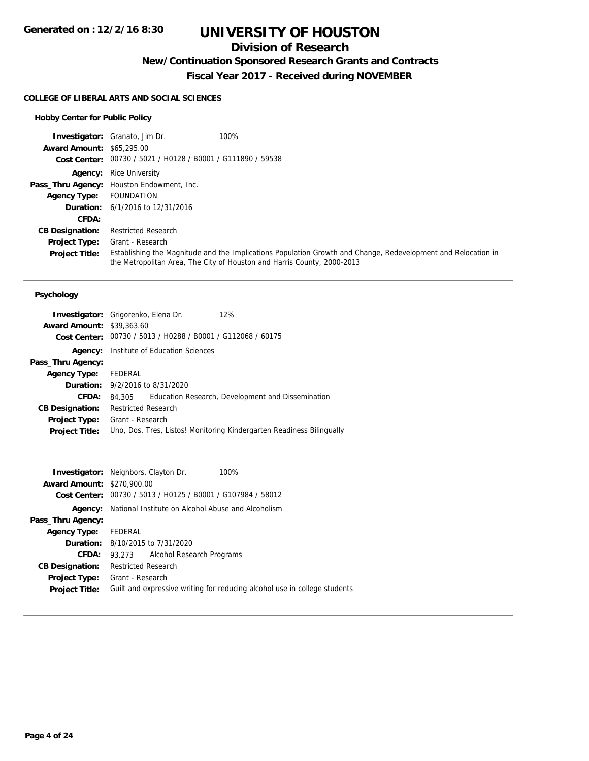## **Division of Research**

## **New/Continuation Sponsored Research Grants and Contracts**

**Fiscal Year 2017 - Received during NOVEMBER**

### **COLLEGE OF LIBERAL ARTS AND SOCIAL SCIENCES**

## **Hobby Center for Public Policy**

|                                  | <b>Investigator:</b> Granato, Jim Dr.                       | 100%                                                                                                                                                                                     |
|----------------------------------|-------------------------------------------------------------|------------------------------------------------------------------------------------------------------------------------------------------------------------------------------------------|
| <b>Award Amount: \$65,295.00</b> |                                                             |                                                                                                                                                                                          |
|                                  | Cost Center: 00730 / 5021 / H0128 / B0001 / G111890 / 59538 |                                                                                                                                                                                          |
|                                  | <b>Agency:</b> Rice University                              |                                                                                                                                                                                          |
|                                  | Pass_Thru Agency: Houston Endowment, Inc.                   |                                                                                                                                                                                          |
| <b>Agency Type:</b>              | FOUNDATION                                                  |                                                                                                                                                                                          |
|                                  | <b>Duration:</b> $6/1/2016$ to $12/31/2016$                 |                                                                                                                                                                                          |
| CFDA:                            |                                                             |                                                                                                                                                                                          |
| <b>CB Designation:</b>           | <b>Restricted Research</b>                                  |                                                                                                                                                                                          |
| <b>Project Type:</b>             | Grant - Research                                            |                                                                                                                                                                                          |
| <b>Project Title:</b>            |                                                             | Establishing the Magnitude and the Implications Population Growth and Change, Redevelopment and Relocation in<br>the Metropolitan Area, The City of Houston and Harris County, 2000-2013 |

#### **Psychology**

| <b>Investigator:</b> Grigorenko, Elena Dr. |                            |                                                             | 12%                                                                   |
|--------------------------------------------|----------------------------|-------------------------------------------------------------|-----------------------------------------------------------------------|
| <b>Award Amount: \$39,363.60</b>           |                            |                                                             |                                                                       |
|                                            |                            | Cost Center: 00730 / 5013 / H0288 / B0001 / G112068 / 60175 |                                                                       |
| Agency:                                    |                            | Institute of Education Sciences                             |                                                                       |
| Pass_Thru Agency:                          |                            |                                                             |                                                                       |
| Agency Type: FEDERAL                       |                            |                                                             |                                                                       |
| <b>Duration:</b> 9/2/2016 to 8/31/2020     |                            |                                                             |                                                                       |
| CFDA:                                      | 84.305                     |                                                             | Education Research, Development and Dissemination                     |
| <b>CB Designation:</b>                     | <b>Restricted Research</b> |                                                             |                                                                       |
| <b>Project Type:</b>                       | Grant - Research           |                                                             |                                                                       |
| <b>Project Title:</b>                      |                            |                                                             | Uno, Dos, Tres, Listos! Monitoring Kindergarten Readiness Bilingually |

| <b>Award Amount: \$270,900.00</b><br>Cost Center: | <b>Investigator:</b> Neighbors, Clayton Dr.<br>100%<br>00730 / 5013 / H0125 / B0001 / G107984 / 58012 |  |
|---------------------------------------------------|-------------------------------------------------------------------------------------------------------|--|
| Agency:                                           | National Institute on Alcohol Abuse and Alcoholism                                                    |  |
| Pass_Thru Agency:                                 |                                                                                                       |  |
| <b>Agency Type:</b>                               | FEDERAL                                                                                               |  |
|                                                   | <b>Duration:</b> 8/10/2015 to 7/31/2020                                                               |  |
| <b>CFDA:</b>                                      | Alcohol Research Programs<br>93.273                                                                   |  |
| <b>CB Designation:</b>                            | <b>Restricted Research</b>                                                                            |  |
| Project Type:                                     | Grant - Research                                                                                      |  |
| <b>Project Title:</b>                             | Guilt and expressive writing for reducing alcohol use in college students                             |  |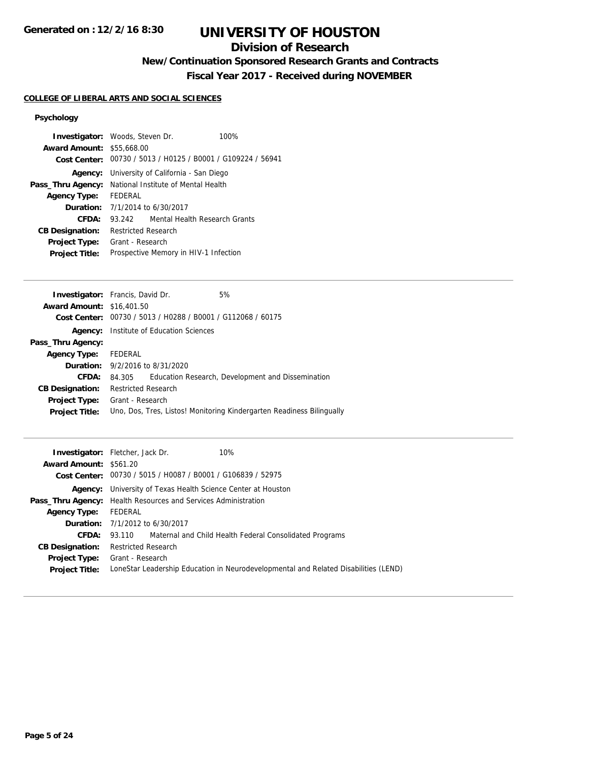## **Division of Research**

## **New/Continuation Sponsored Research Grants and Contracts**

**Fiscal Year 2017 - Received during NOVEMBER**

## **COLLEGE OF LIBERAL ARTS AND SOCIAL SCIENCES**

## **Psychology**

| <b>Investigator:</b> Woods, Steven Dr. |                                                              |                               | 100% |
|----------------------------------------|--------------------------------------------------------------|-------------------------------|------|
| <b>Award Amount: \$55,668.00</b>       |                                                              |                               |      |
|                                        | Cost Center: 00730 / 5013 / H0125 / B0001 / G109224 / 56941  |                               |      |
| Agency:                                | University of California - San Diego                         |                               |      |
|                                        | <b>Pass_Thru Agency:</b> National Institute of Mental Health |                               |      |
| <b>Agency Type:</b>                    | FEDERAL                                                      |                               |      |
|                                        | <b>Duration:</b> 7/1/2014 to 6/30/2017                       |                               |      |
| CFDA:                                  | 93.242                                                       | Mental Health Research Grants |      |
| <b>CB Designation:</b>                 | <b>Restricted Research</b>                                   |                               |      |
| <b>Project Type:</b>                   | Grant - Research                                             |                               |      |
| <b>Project Title:</b>                  | Prospective Memory in HIV-1 Infection                        |                               |      |
|                                        |                                                              |                               |      |

| <b>Investigator:</b> Francis, David Dr. |                                            |                                                | 5%                                                                    |
|-----------------------------------------|--------------------------------------------|------------------------------------------------|-----------------------------------------------------------------------|
| <b>Award Amount: \$16,401.50</b>        |                                            |                                                |                                                                       |
| Cost Center:                            |                                            | 00730 / 5013 / H0288 / B0001 / G112068 / 60175 |                                                                       |
| Agency:                                 | Institute of Education Sciences            |                                                |                                                                       |
| Pass_Thru Agency:                       |                                            |                                                |                                                                       |
| <b>Agency Type:</b>                     | FEDERAL                                    |                                                |                                                                       |
|                                         | <b>Duration:</b> $9/2/2016$ to $8/31/2020$ |                                                |                                                                       |
| CFDA:                                   | 84.305                                     |                                                | Education Research, Development and Dissemination                     |
| <b>CB Designation:</b>                  | <b>Restricted Research</b>                 |                                                |                                                                       |
| Project Type:                           | Grant - Research                           |                                                |                                                                       |
| <b>Project Title:</b>                   |                                            |                                                | Uno, Dos, Tres, Listos! Monitoring Kindergarten Readiness Bilingually |
|                                         |                                            |                                                |                                                                       |

|                        | <b>Investigator:</b> Fletcher, Jack Dr.<br>10%                                      |
|------------------------|-------------------------------------------------------------------------------------|
| Award Amount: \$561.20 |                                                                                     |
|                        | Cost Center: 00730 / 5015 / H0087 / B0001 / G106839 / 52975                         |
|                        | <b>Agency:</b> University of Texas Health Science Center at Houston                 |
|                        | <b>Pass_Thru Agency:</b> Health Resources and Services Administration               |
| <b>Agency Type:</b>    | FEDERAL                                                                             |
|                        | <b>Duration:</b> 7/1/2012 to 6/30/2017                                              |
| <b>CFDA:</b>           | 93.110 Maternal and Child Health Federal Consolidated Programs                      |
| <b>CB Designation:</b> | <b>Restricted Research</b>                                                          |
|                        | <b>Project Type:</b> Grant - Research                                               |
| <b>Project Title:</b>  | LoneStar Leadership Education in Neurodevelopmental and Related Disabilities (LEND) |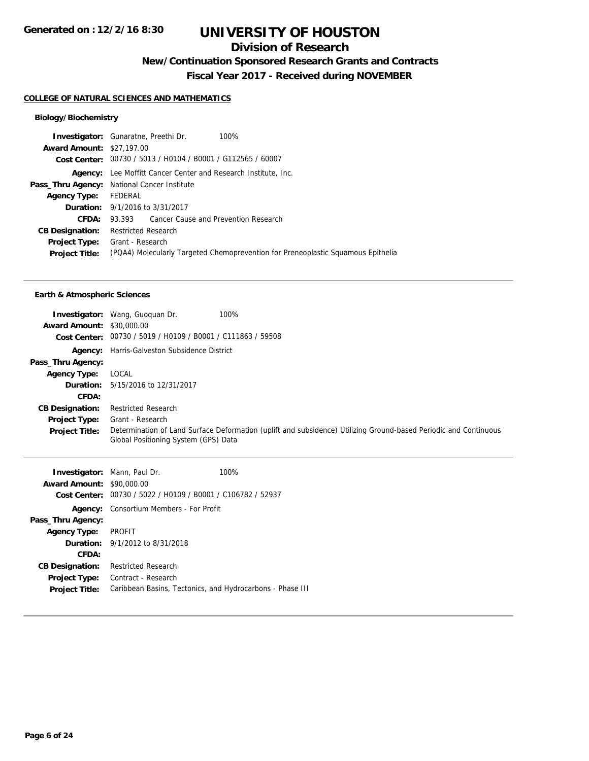## **Division of Research**

## **New/Continuation Sponsored Research Grants and Contracts**

**Fiscal Year 2017 - Received during NOVEMBER**

## **COLLEGE OF NATURAL SCIENCES AND MATHEMATICS**

## **Biology/Biochemistry**

|                                  | <b>Investigator:</b> Gunaratne, Preethi Dr.<br>100%                              |
|----------------------------------|----------------------------------------------------------------------------------|
| <b>Award Amount: \$27,197.00</b> |                                                                                  |
|                                  | Cost Center: 00730 / 5013 / H0104 / B0001 / G112565 / 60007                      |
|                                  | Agency: Lee Moffitt Cancer Center and Research Institute, Inc.                   |
|                                  | Pass_Thru Agency: National Cancer Institute                                      |
| Agency Type: FEDERAL             |                                                                                  |
|                                  | <b>Duration:</b> 9/1/2016 to 3/31/2017                                           |
| CFDA:                            | 93.393 Cancer Cause and Prevention Research                                      |
| <b>CB Designation:</b>           | <b>Restricted Research</b>                                                       |
|                                  | <b>Project Type:</b> Grant - Research                                            |
| <b>Project Title:</b>            | (PQA4) Molecularly Targeted Chemoprevention for Preneoplastic Squamous Epithelia |
|                                  |                                                                                  |

#### **Earth & Atmospheric Sciences**

| <b>Award Amount: \$30,000.00</b> | 100%<br><b>Investigator:</b> Wang, Guoguan Dr.<br>Cost Center: 00730 / 5019 / H0109 / B0001 / C111863 / 59508                                            |
|----------------------------------|----------------------------------------------------------------------------------------------------------------------------------------------------------|
| Agency:                          | Harris-Galveston Subsidence District                                                                                                                     |
| Pass_Thru Agency:                |                                                                                                                                                          |
| <b>Agency Type:</b>              | LOCAL                                                                                                                                                    |
|                                  | <b>Duration:</b> 5/15/2016 to 12/31/2017                                                                                                                 |
| <b>CFDA:</b>                     |                                                                                                                                                          |
| <b>CB Designation:</b>           | <b>Restricted Research</b>                                                                                                                               |
| <b>Project Type:</b>             | Grant - Research                                                                                                                                         |
| <b>Project Title:</b>            | Determination of Land Surface Deformation (uplift and subsidence) Utilizing Ground-based Periodic and Continuous<br>Global Positioning System (GPS) Data |

|                                  | <b>Investigator:</b> Mann, Paul Dr.            | 100%                                                        |
|----------------------------------|------------------------------------------------|-------------------------------------------------------------|
| <b>Award Amount: \$90,000.00</b> |                                                |                                                             |
|                                  |                                                | Cost Center: 00730 / 5022 / H0109 / B0001 / C106782 / 52937 |
|                                  | <b>Agency:</b> Consortium Members - For Profit |                                                             |
| Pass_Thru Agency:                |                                                |                                                             |
| Agency Type: PROFIT              |                                                |                                                             |
|                                  | <b>Duration:</b> 9/1/2012 to 8/31/2018         |                                                             |
| CFDA:                            |                                                |                                                             |
| <b>CB Designation:</b>           | <b>Restricted Research</b>                     |                                                             |
| Project Type:                    | Contract - Research                            |                                                             |
| <b>Project Title:</b>            |                                                | Caribbean Basins, Tectonics, and Hydrocarbons - Phase III   |
|                                  |                                                |                                                             |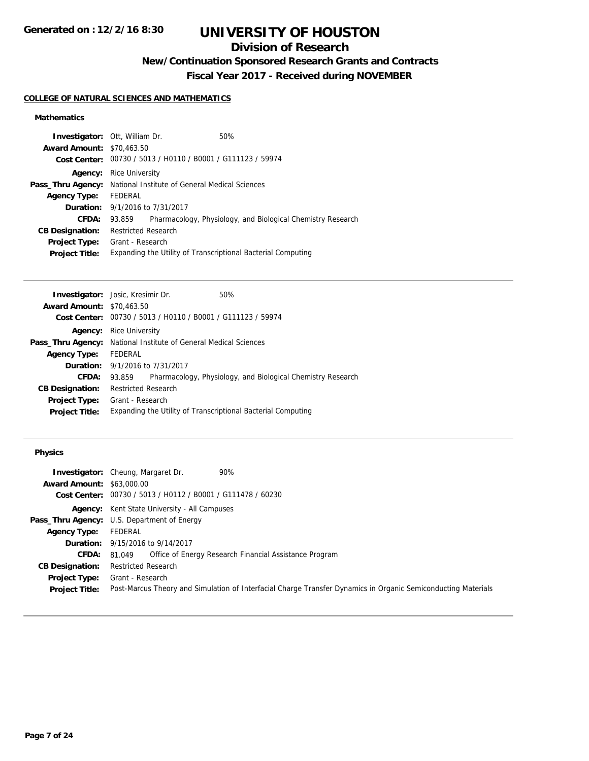## **Division of Research**

## **New/Continuation Sponsored Research Grants and Contracts**

**Fiscal Year 2017 - Received during NOVEMBER**

## **COLLEGE OF NATURAL SCIENCES AND MATHEMATICS**

## **Mathematics**

| <b>Investigator:</b> Ott, William Dr. |                                                                         |  | 50%                                                          |
|---------------------------------------|-------------------------------------------------------------------------|--|--------------------------------------------------------------|
| <b>Award Amount: \$70,463.50</b>      |                                                                         |  |                                                              |
|                                       | Cost Center: 00730 / 5013 / H0110 / B0001 / G111123 / 59974             |  |                                                              |
|                                       | <b>Agency:</b> Rice University                                          |  |                                                              |
|                                       | <b>Pass_Thru Agency:</b> National Institute of General Medical Sciences |  |                                                              |
| <b>Agency Type:</b>                   | FEDERAL                                                                 |  |                                                              |
|                                       | <b>Duration:</b> 9/1/2016 to 7/31/2017                                  |  |                                                              |
| CFDA:                                 | 93.859                                                                  |  | Pharmacology, Physiology, and Biological Chemistry Research  |
| <b>CB Designation:</b>                | <b>Restricted Research</b>                                              |  |                                                              |
| <b>Project Type:</b>                  | Grant - Research                                                        |  |                                                              |
| <b>Project Title:</b>                 |                                                                         |  | Expanding the Utility of Transcriptional Bacterial Computing |
|                                       |                                                                         |  |                                                              |

|                                  | <b>Investigator:</b> Josic, Kresimir Dr.                                |  | 50%                                                          |
|----------------------------------|-------------------------------------------------------------------------|--|--------------------------------------------------------------|
| <b>Award Amount: \$70,463.50</b> |                                                                         |  |                                                              |
|                                  | Cost Center: 00730 / 5013 / H0110 / B0001 / G111123 / 59974             |  |                                                              |
| Agency:                          | <b>Rice University</b>                                                  |  |                                                              |
|                                  | <b>Pass_Thru Agency:</b> National Institute of General Medical Sciences |  |                                                              |
| <b>Agency Type:</b>              | FEDERAL                                                                 |  |                                                              |
|                                  | <b>Duration:</b> 9/1/2016 to 7/31/2017                                  |  |                                                              |
| CFDA:                            | 93.859                                                                  |  | Pharmacology, Physiology, and Biological Chemistry Research  |
| <b>CB Designation:</b>           | <b>Restricted Research</b>                                              |  |                                                              |
| <b>Project Type:</b>             | Grant - Research                                                        |  |                                                              |
| <b>Project Title:</b>            |                                                                         |  | Expanding the Utility of Transcriptional Bacterial Computing |
|                                  |                                                                         |  |                                                              |

## **Physics**

|                                  | 90%<br><b>Investigator:</b> Cheung, Margaret Dr.                                                              |
|----------------------------------|---------------------------------------------------------------------------------------------------------------|
| <b>Award Amount: \$63,000.00</b> |                                                                                                               |
|                                  | Cost Center: 00730 / 5013 / H0112 / B0001 / G111478 / 60230                                                   |
|                                  | <b>Agency:</b> Kent State University - All Campuses                                                           |
|                                  | <b>Pass_Thru Agency:</b> U.S. Department of Energy                                                            |
| <b>Agency Type:</b>              | FEDERAL                                                                                                       |
|                                  | <b>Duration:</b> 9/15/2016 to 9/14/2017                                                                       |
| <b>CFDA:</b>                     | Office of Energy Research Financial Assistance Program<br>81.049                                              |
| <b>CB Designation:</b>           | <b>Restricted Research</b>                                                                                    |
| <b>Project Type:</b>             | Grant - Research                                                                                              |
| <b>Project Title:</b>            | Post-Marcus Theory and Simulation of Interfacial Charge Transfer Dynamics in Organic Semiconducting Materials |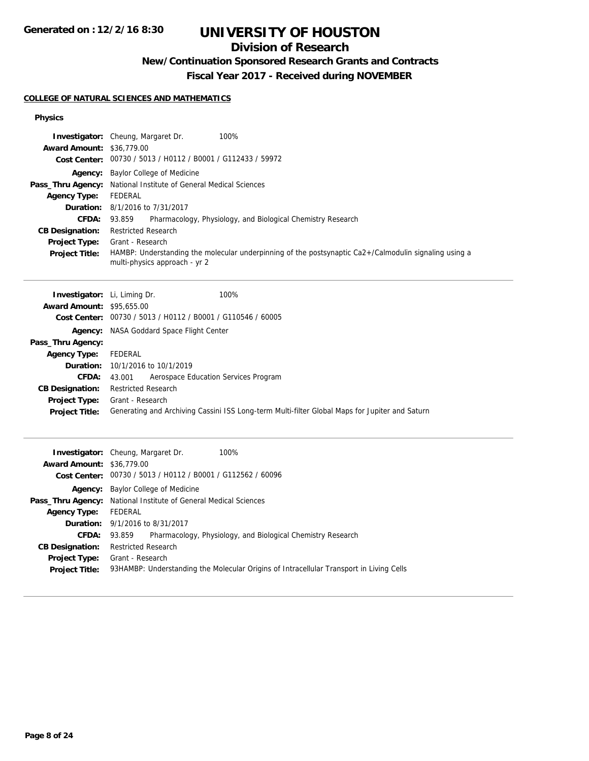## **Division of Research**

## **New/Continuation Sponsored Research Grants and Contracts**

**Fiscal Year 2017 - Received during NOVEMBER**

## **COLLEGE OF NATURAL SCIENCES AND MATHEMATICS**

#### **Physics**

| <b>Award Amount: \$36,779.00</b><br><b>Agency Type:</b><br>CFDA:<br><b>CB Designation:</b><br><b>Project Type:</b><br><b>Project Title:</b>                                                                          | 100%<br>Investigator: Cheung, Margaret Dr.<br>Cost Center: 00730 / 5013 / H0112 / B0001 / G112433 / 59972<br>Agency: Baylor College of Medicine<br>Pass_Thru Agency: National Institute of General Medical Sciences<br><b>FEDERAL</b><br>Duration: 8/1/2016 to 7/31/2017<br>93.859<br>Pharmacology, Physiology, and Biological Chemistry Research<br><b>Restricted Research</b><br>Grant - Research<br>HAMBP: Understanding the molecular underpinning of the postsynaptic Ca2+/Calmodulin signaling using a<br>multi-physics approach - yr 2 |
|----------------------------------------------------------------------------------------------------------------------------------------------------------------------------------------------------------------------|-----------------------------------------------------------------------------------------------------------------------------------------------------------------------------------------------------------------------------------------------------------------------------------------------------------------------------------------------------------------------------------------------------------------------------------------------------------------------------------------------------------------------------------------------|
| <b>Investigator:</b> Li, Liming Dr.<br>Award Amount: \$95,655.00<br>Pass_Thru Agency:<br><b>Agency Type:</b><br>Duration:<br><b>CFDA:</b><br><b>CB Designation:</b><br><b>Project Type:</b><br><b>Project Title:</b> | 100%<br>Cost Center: 00730 / 5013 / H0112 / B0001 / G110546 / 60005<br><b>Agency:</b> NASA Goddard Space Flight Center<br><b>FEDERAL</b><br>10/1/2016 to 10/1/2019<br>Aerospace Education Services Program<br>43.001<br><b>Restricted Research</b><br>Grant - Research<br>Generating and Archiving Cassini ISS Long-term Multi-filter Global Maps for Jupiter and Saturn                                                                                                                                                                      |
| <b>Award Amount: \$36,779.00</b><br><b>Agency Type:</b><br><b>Duration:</b><br><b>CFDA:</b><br><b>CB Designation:</b><br>Project Type:<br><b>Project Title:</b>                                                      | 100%<br>Investigator: Cheung, Margaret Dr.<br>Cost Center: 00730 / 5013 / H0112 / B0001 / G112562 / 60096<br>Agency: Baylor College of Medicine<br>Pass_Thru Agency: National Institute of General Medical Sciences<br><b>FEDERAL</b><br>9/1/2016 to 8/31/2017<br>93.859<br>Pharmacology, Physiology, and Biological Chemistry Research<br><b>Restricted Research</b><br>Grant - Research<br>93HAMBP: Understanding the Molecular Origins of Intracellular Transport in Living Cells                                                          |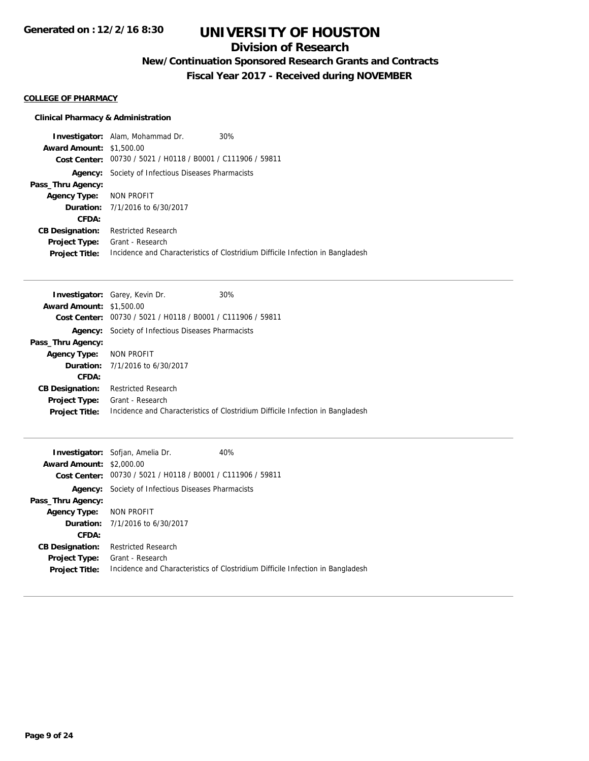## **Division of Research**

## **New/Continuation Sponsored Research Grants and Contracts**

**Fiscal Year 2017 - Received during NOVEMBER**

### **COLLEGE OF PHARMACY**

## **Clinical Pharmacy & Administration**

|                                 | <b>Investigator:</b> Alam, Mohammad Dr.<br>30%                                 |
|---------------------------------|--------------------------------------------------------------------------------|
| <b>Award Amount: \$1,500.00</b> |                                                                                |
|                                 | Cost Center: 00730 / 5021 / H0118 / B0001 / C111906 / 59811                    |
|                                 | <b>Agency:</b> Society of Infectious Diseases Pharmacists                      |
| Pass_Thru Agency:               |                                                                                |
| Agency Type: NON PROFIT         |                                                                                |
|                                 | <b>Duration:</b> 7/1/2016 to 6/30/2017                                         |
| CFDA:                           |                                                                                |
| <b>CB Designation:</b>          | <b>Restricted Research</b>                                                     |
| <b>Project Type:</b>            | Grant - Research                                                               |
| <b>Project Title:</b>           | Incidence and Characteristics of Clostridium Difficile Infection in Bangladesh |

|                                 | <b>Investigator:</b> Garey, Kevin Dr.                       | 30%                                                                            |
|---------------------------------|-------------------------------------------------------------|--------------------------------------------------------------------------------|
| <b>Award Amount: \$1,500.00</b> |                                                             |                                                                                |
|                                 | Cost Center: 00730 / 5021 / H0118 / B0001 / C111906 / 59811 |                                                                                |
| Agency:                         | Society of Infectious Diseases Pharmacists                  |                                                                                |
| Pass_Thru Agency:               |                                                             |                                                                                |
| <b>Agency Type:</b>             | NON PROFIT                                                  |                                                                                |
|                                 | <b>Duration:</b> 7/1/2016 to 6/30/2017                      |                                                                                |
| CFDA:                           |                                                             |                                                                                |
| <b>CB Designation:</b>          | <b>Restricted Research</b>                                  |                                                                                |
| <b>Project Type:</b>            | Grant - Research                                            |                                                                                |
| <b>Project Title:</b>           |                                                             | Incidence and Characteristics of Clostridium Difficile Infection in Bangladesh |
|                                 |                                                             |                                                                                |

|                                 | <b>Investigator:</b> Sofjan, Amelia Dr.                     | 40%                                                                            |
|---------------------------------|-------------------------------------------------------------|--------------------------------------------------------------------------------|
| <b>Award Amount: \$2,000.00</b> |                                                             |                                                                                |
|                                 | Cost Center: 00730 / 5021 / H0118 / B0001 / C111906 / 59811 |                                                                                |
|                                 | <b>Agency:</b> Society of Infectious Diseases Pharmacists   |                                                                                |
| Pass_Thru Agency:               |                                                             |                                                                                |
| <b>Agency Type: NON PROFIT</b>  |                                                             |                                                                                |
|                                 | <b>Duration:</b> 7/1/2016 to 6/30/2017                      |                                                                                |
| CFDA:                           |                                                             |                                                                                |
| <b>CB Designation:</b>          | Restricted Research                                         |                                                                                |
| <b>Project Type:</b>            | Grant - Research                                            |                                                                                |
| <b>Project Title:</b>           |                                                             | Incidence and Characteristics of Clostridium Difficile Infection in Bangladesh |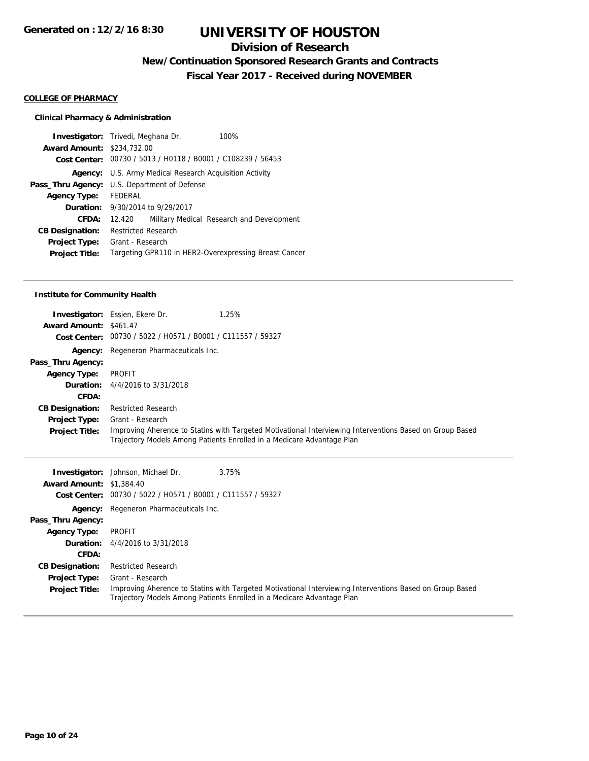## **Division of Research**

## **New/Continuation Sponsored Research Grants and Contracts**

**Fiscal Year 2017 - Received during NOVEMBER**

#### **COLLEGE OF PHARMACY**

## **Clinical Pharmacy & Administration**

|                                   | <b>Investigator:</b> Trivedi, Meghana Dr.                      | 100%                                      |
|-----------------------------------|----------------------------------------------------------------|-------------------------------------------|
| <b>Award Amount: \$234,732.00</b> |                                                                |                                           |
|                                   | Cost Center: 00730 / 5013 / H0118 / B0001 / C108239 / 56453    |                                           |
|                                   | <b>Agency:</b> U.S. Army Medical Research Acquisition Activity |                                           |
|                                   | <b>Pass_Thru Agency:</b> U.S. Department of Defense            |                                           |
| <b>Agency Type:</b>               | FEDERAL                                                        |                                           |
|                                   | <b>Duration:</b> 9/30/2014 to 9/29/2017                        |                                           |
| CFDA:                             | 12.420                                                         | Military Medical Research and Development |
| <b>CB Designation:</b>            | Restricted Research                                            |                                           |
| <b>Project Type:</b>              | Grant - Research                                               |                                           |
| <b>Project Title:</b>             | Targeting GPR110 in HER2-Overexpressing Breast Cancer          |                                           |
|                                   |                                                                |                                           |

#### **Institute for Community Health**

| <b>Award Amount: \$461.47</b> | 1.25%<br><b>Investigator:</b> Essien, Ekere Dr.<br>Cost Center: 00730 / 5022 / H0571 / B0001 / C111557 / 59327                                                                     |
|-------------------------------|------------------------------------------------------------------------------------------------------------------------------------------------------------------------------------|
|                               | <b>Agency:</b> Regeneron Pharmaceuticals Inc.                                                                                                                                      |
| Pass_Thru Agency:             |                                                                                                                                                                                    |
| <b>Agency Type:</b>           | PROFIT                                                                                                                                                                             |
|                               | <b>Duration:</b> 4/4/2016 to 3/31/2018                                                                                                                                             |
| <b>CFDA:</b>                  |                                                                                                                                                                                    |
| <b>CB Designation:</b>        | <b>Restricted Research</b>                                                                                                                                                         |
| <b>Project Type:</b>          | Grant - Research                                                                                                                                                                   |
| <b>Project Title:</b>         | Improving Aherence to Statins with Targeted Motivational Interviewing Interventions Based on Group Based<br>Trajectory Models Among Patients Enrolled in a Medicare Advantage Plan |

|                                 | <b>Investigator:</b> Johnson, Michael Dr.                   | 3.75%                                                                                                                                                                              |
|---------------------------------|-------------------------------------------------------------|------------------------------------------------------------------------------------------------------------------------------------------------------------------------------------|
| <b>Award Amount: \$1,384.40</b> |                                                             |                                                                                                                                                                                    |
|                                 | Cost Center: 00730 / 5022 / H0571 / B0001 / C111557 / 59327 |                                                                                                                                                                                    |
|                                 | Agency: Regeneron Pharmaceuticals Inc.                      |                                                                                                                                                                                    |
| Pass_Thru Agency:               |                                                             |                                                                                                                                                                                    |
| <b>Agency Type:</b>             | PROFIT                                                      |                                                                                                                                                                                    |
|                                 | <b>Duration:</b> 4/4/2016 to 3/31/2018                      |                                                                                                                                                                                    |
| CFDA:                           |                                                             |                                                                                                                                                                                    |
| <b>CB Designation:</b>          | <b>Restricted Research</b>                                  |                                                                                                                                                                                    |
| <b>Project Type:</b>            | Grant - Research                                            |                                                                                                                                                                                    |
| <b>Project Title:</b>           |                                                             | Improving Aherence to Statins with Targeted Motivational Interviewing Interventions Based on Group Based<br>Trajectory Models Among Patients Enrolled in a Medicare Advantage Plan |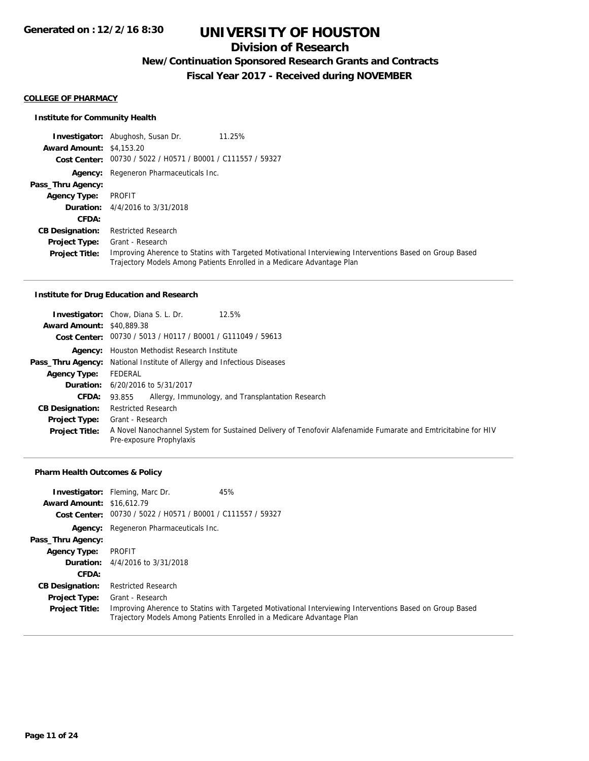## **Division of Research**

## **New/Continuation Sponsored Research Grants and Contracts**

**Fiscal Year 2017 - Received during NOVEMBER**

#### **COLLEGE OF PHARMACY**

#### **Institute for Community Health**

**Investigator:** Abughosh, Susan Dr. 11.25% **Award Amount:** \$4,153.20 **Cost Center:** 00730 / 5022 / H0571 / B0001 / C111557 / 59327 **Agency:** Regeneron Pharmaceuticals Inc. **Pass\_Thru Agency: Agency Type:** PROFIT **Duration:** 4/4/2016 to 3/31/2018 **CFDA: CB Designation:** Restricted Research **Project Type: Project Title:** Improving Aherence to Statins with Targeted Motivational Interviewing Interventions Based on Group Based Trajectory Models Among Patients Enrolled in a Medicare Advantage Plan Grant - Research

#### **Institute for Drug Education and Research**

|                                  | <b>Investigator:</b> Chow, Diana S. L. Dr.<br>12.5%                                                                                       |  |  |
|----------------------------------|-------------------------------------------------------------------------------------------------------------------------------------------|--|--|
| <b>Award Amount: \$40,889.38</b> |                                                                                                                                           |  |  |
|                                  | Cost Center: 00730 / 5013 / H0117 / B0001 / G111049 / 59613                                                                               |  |  |
|                                  | <b>Agency:</b> Houston Methodist Research Institute                                                                                       |  |  |
|                                  | <b>Pass_Thru Agency:</b> National Institute of Allergy and Infectious Diseases                                                            |  |  |
| <b>Agency Type:</b>              | FEDERAL                                                                                                                                   |  |  |
|                                  | <b>Duration:</b> 6/20/2016 to 5/31/2017                                                                                                   |  |  |
| CFDA:                            | Allergy, Immunology, and Transplantation Research<br>93.855                                                                               |  |  |
| <b>CB Designation:</b>           | <b>Restricted Research</b>                                                                                                                |  |  |
|                                  | <b>Project Type:</b> Grant - Research                                                                                                     |  |  |
| <b>Project Title:</b>            | A Novel Nanochannel System for Sustained Delivery of Tenofovir Alafenamide Fumarate and Emtricitabine for HIV<br>Pre-exposure Prophylaxis |  |  |

#### **Pharm Health Outcomes & Policy**

| <b>Award Amount: \$16,612.79</b>              | 45%<br><b>Investigator:</b> Fleming, Marc Dr.<br>Cost Center: 00730 / 5022 / H0571 / B0001 / C111557 / 59327                                                                                           |
|-----------------------------------------------|--------------------------------------------------------------------------------------------------------------------------------------------------------------------------------------------------------|
|                                               | <b>Agency:</b> Regeneron Pharmaceuticals Inc.                                                                                                                                                          |
| Pass_Thru Agency:                             |                                                                                                                                                                                                        |
| <b>Agency Type:</b>                           | PROFIT                                                                                                                                                                                                 |
|                                               | <b>Duration:</b> $4/4/2016$ to $3/31/2018$                                                                                                                                                             |
| CFDA:                                         |                                                                                                                                                                                                        |
| <b>CB Designation:</b>                        | <b>Restricted Research</b>                                                                                                                                                                             |
| <b>Project Type:</b><br><b>Project Title:</b> | Grant - Research<br>Improving Aherence to Statins with Targeted Motivational Interviewing Interventions Based on Group Based<br>Trajectory Models Among Patients Enrolled in a Medicare Advantage Plan |
|                                               |                                                                                                                                                                                                        |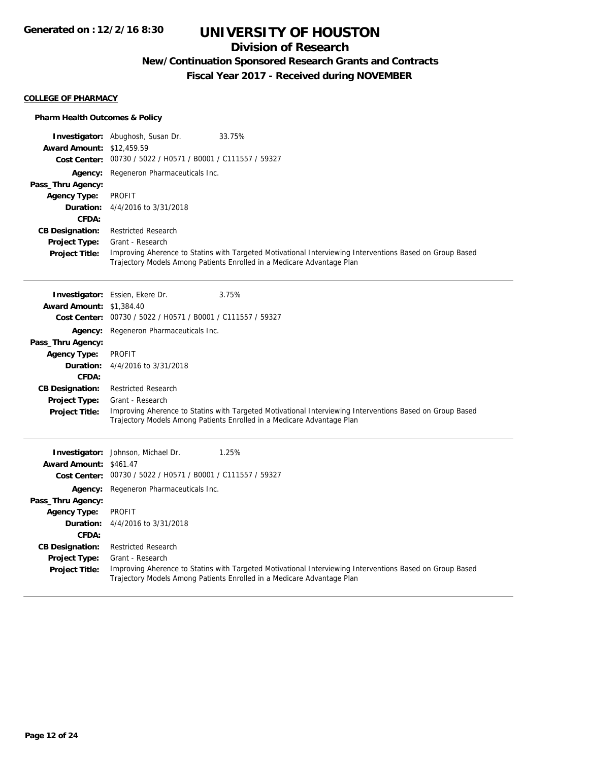## **Division of Research**

## **New/Continuation Sponsored Research Grants and Contracts**

**Fiscal Year 2017 - Received during NOVEMBER**

#### **COLLEGE OF PHARMACY**

#### **Pharm Health Outcomes & Policy**

|                                          | <b>Investigator:</b> Abughosh, Susan Dr.<br>33.75%                                                                                                                                 |
|------------------------------------------|------------------------------------------------------------------------------------------------------------------------------------------------------------------------------------|
| <b>Award Amount: \$12,459.59</b>         | Cost Center: 00730 / 5022 / H0571 / B0001 / C111557 / 59327                                                                                                                        |
|                                          |                                                                                                                                                                                    |
| Agency:                                  | Regeneron Pharmaceuticals Inc.                                                                                                                                                     |
| Pass_Thru Agency:<br><b>Agency Type:</b> | <b>PROFIT</b>                                                                                                                                                                      |
| Duration:                                | 4/4/2016 to 3/31/2018                                                                                                                                                              |
| CFDA:                                    |                                                                                                                                                                                    |
| <b>CB Designation:</b>                   | <b>Restricted Research</b>                                                                                                                                                         |
| <b>Project Type:</b>                     | Grant - Research                                                                                                                                                                   |
| <b>Project Title:</b>                    | Improving Aherence to Statins with Targeted Motivational Interviewing Interventions Based on Group Based                                                                           |
|                                          | Trajectory Models Among Patients Enrolled in a Medicare Advantage Plan                                                                                                             |
|                                          | Investigator: Essien, Ekere Dr.<br>3.75%                                                                                                                                           |
| <b>Award Amount: \$1,384.40</b>          |                                                                                                                                                                                    |
|                                          | Cost Center: 00730 / 5022 / H0571 / B0001 / C111557 / 59327                                                                                                                        |
| Agency:                                  | Regeneron Pharmaceuticals Inc.                                                                                                                                                     |
| Pass_Thru Agency:                        |                                                                                                                                                                                    |
| <b>Agency Type:</b>                      | <b>PROFIT</b>                                                                                                                                                                      |
| Duration:                                | 4/4/2016 to 3/31/2018                                                                                                                                                              |
| CFDA:                                    |                                                                                                                                                                                    |
| <b>CB Designation:</b>                   | <b>Restricted Research</b>                                                                                                                                                         |
| <b>Project Type:</b>                     | Grant - Research                                                                                                                                                                   |
| <b>Project Title:</b>                    | Improving Aherence to Statins with Targeted Motivational Interviewing Interventions Based on Group Based<br>Trajectory Models Among Patients Enrolled in a Medicare Advantage Plan |
|                                          |                                                                                                                                                                                    |
|                                          | 1.25%<br><b>Investigator:</b> Johnson, Michael Dr.                                                                                                                                 |
| Award Amount: \$461.47                   |                                                                                                                                                                                    |
|                                          | Cost Center: 00730 / 5022 / H0571 / B0001 / C111557 / 59327                                                                                                                        |
| Agency:                                  | Regeneron Pharmaceuticals Inc.                                                                                                                                                     |
| Pass_Thru Agency:                        |                                                                                                                                                                                    |
| <b>Agency Type:</b>                      | <b>PROFIT</b><br>4/4/2016 to 3/31/2018                                                                                                                                             |
| Duration:<br><b>CFDA:</b>                |                                                                                                                                                                                    |
| <b>CB Designation:</b>                   | <b>Restricted Research</b>                                                                                                                                                         |
| <b>Project Type:</b>                     | Grant - Research                                                                                                                                                                   |
| <b>Project Title:</b>                    | Improving Aherence to Statins with Targeted Motivational Interviewing Interventions Based on Group Based<br>Trajectory Models Among Patients Enrolled in a Medicare Advantage Plan |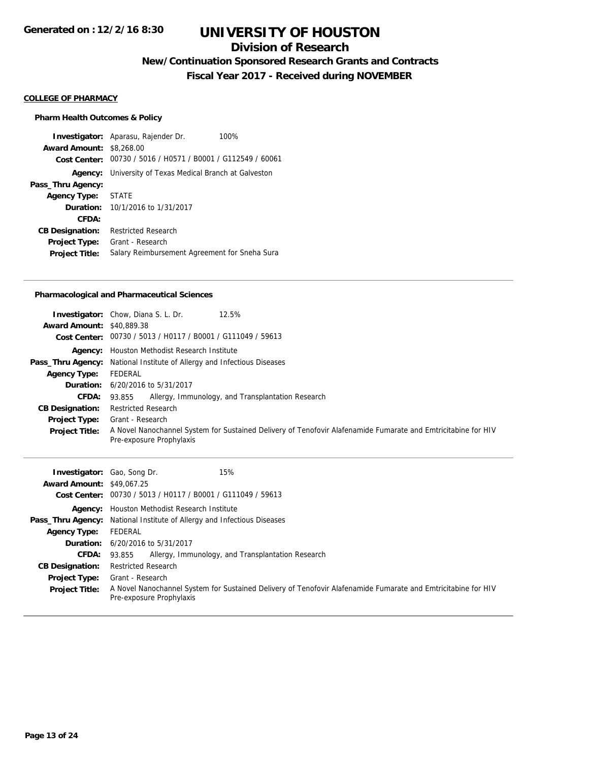## **Division of Research**

## **New/Continuation Sponsored Research Grants and Contracts**

**Fiscal Year 2017 - Received during NOVEMBER**

#### **COLLEGE OF PHARMACY**

#### **Pharm Health Outcomes & Policy**

**Investigator:** Aparasu, Rajender Dr. 100% **Award Amount:** \$8,268.00 **Cost Center:** 00730 / 5016 / H0571 / B0001 / G112549 / 60061 **Agency:** University of Texas Medical Branch at Galveston **Pass\_Thru Agency: Agency Type:** STATE **Duration:** 10/1/2016 to 1/31/2017 **CFDA: CB Designation:** Restricted Research **Project Type:** Grant - Research **Project Title:** Salary Reimbursement Agreement for Sneha Sura

#### **Pharmacological and Pharmaceutical Sciences**

|                                  | <b>Investigator:</b> Chow, Diana S. L. Dr.<br>12.5%                                                                                       |  |  |
|----------------------------------|-------------------------------------------------------------------------------------------------------------------------------------------|--|--|
| <b>Award Amount: \$40,889.38</b> |                                                                                                                                           |  |  |
|                                  | Cost Center: 00730 / 5013 / H0117 / B0001 / G111049 / 59613                                                                               |  |  |
|                                  | <b>Agency:</b> Houston Methodist Research Institute                                                                                       |  |  |
|                                  | <b>Pass_Thru Agency:</b> National Institute of Allergy and Infectious Diseases                                                            |  |  |
| <b>Agency Type:</b>              | FEDERAL                                                                                                                                   |  |  |
|                                  | <b>Duration:</b> 6/20/2016 to 5/31/2017                                                                                                   |  |  |
| CFDA: 93.855                     | Allergy, Immunology, and Transplantation Research                                                                                         |  |  |
| <b>CB Designation:</b>           | <b>Restricted Research</b>                                                                                                                |  |  |
|                                  | <b>Project Type:</b> Grant - Research                                                                                                     |  |  |
| <b>Project Title:</b>            | A Novel Nanochannel System for Sustained Delivery of Tenofovir Alafenamide Fumarate and Emtricitabine for HIV<br>Pre-exposure Prophylaxis |  |  |

| <b>Investigator:</b> Gao, Song Dr.<br><b>Award Amount: \$49,067.25</b> | 15%<br>Cost Center: 00730 / 5013 / H0117 / B0001 / G111049 / 59613                                                                        |  |  |
|------------------------------------------------------------------------|-------------------------------------------------------------------------------------------------------------------------------------------|--|--|
|                                                                        | Agency: Houston Methodist Research Institute                                                                                              |  |  |
|                                                                        | <b>Pass_Thru Agency:</b> National Institute of Allergy and Infectious Diseases                                                            |  |  |
| <b>Agency Type:</b>                                                    | FEDERAL                                                                                                                                   |  |  |
|                                                                        | <b>Duration:</b> 6/20/2016 to 5/31/2017                                                                                                   |  |  |
| <b>CFDA:</b>                                                           | Allergy, Immunology, and Transplantation Research<br>93.855                                                                               |  |  |
| <b>CB Designation:</b>                                                 | <b>Restricted Research</b>                                                                                                                |  |  |
|                                                                        | <b>Project Type:</b> Grant - Research                                                                                                     |  |  |
| <b>Project Title:</b>                                                  | A Novel Nanochannel System for Sustained Delivery of Tenofovir Alafenamide Fumarate and Emtricitabine for HIV<br>Pre-exposure Prophylaxis |  |  |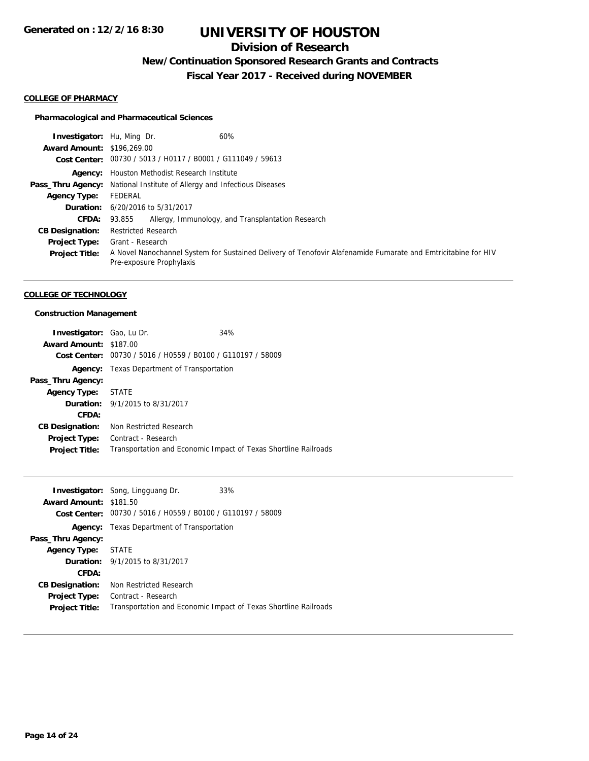## **Division of Research**

## **New/Continuation Sponsored Research Grants and Contracts**

**Fiscal Year 2017 - Received during NOVEMBER**

#### **COLLEGE OF PHARMACY**

#### **Pharmacological and Pharmaceutical Sciences**

| <b>Investigator:</b> Hu, Ming Dr. | 60%                                                                                                                                       |
|-----------------------------------|-------------------------------------------------------------------------------------------------------------------------------------------|
| <b>Award Amount: \$196,269.00</b> |                                                                                                                                           |
|                                   | Cost Center: 00730 / 5013 / H0117 / B0001 / G111049 / 59613                                                                               |
|                                   | <b>Agency:</b> Houston Methodist Research Institute                                                                                       |
|                                   | <b>Pass_Thru Agency:</b> National Institute of Allergy and Infectious Diseases                                                            |
| Agency Type:                      | FEDERAL                                                                                                                                   |
|                                   | <b>Duration:</b> 6/20/2016 to 5/31/2017                                                                                                   |
| <b>CFDA:</b>                      | Allergy, Immunology, and Transplantation Research<br>93.855                                                                               |
| <b>CB Designation:</b>            | <b>Restricted Research</b>                                                                                                                |
| <b>Project Type:</b>              | Grant - Research                                                                                                                          |
| <b>Project Title:</b>             | A Novel Nanochannel System for Sustained Delivery of Tenofovir Alafenamide Fumarate and Emtricitabine for HIV<br>Pre-exposure Prophylaxis |

#### **COLLEGE OF TECHNOLOGY**

## **Construction Management**

| Investigator: Gao, Lu Dr. |                                                             | 34%                                                             |
|---------------------------|-------------------------------------------------------------|-----------------------------------------------------------------|
| Award Amount: \$187.00    |                                                             |                                                                 |
|                           | Cost Center: 00730 / 5016 / H0559 / B0100 / G110197 / 58009 |                                                                 |
|                           | <b>Agency:</b> Texas Department of Transportation           |                                                                 |
| Pass_Thru Agency:         |                                                             |                                                                 |
| <b>Agency Type:</b>       | STATE                                                       |                                                                 |
|                           | <b>Duration:</b> 9/1/2015 to 8/31/2017                      |                                                                 |
| CFDA:                     |                                                             |                                                                 |
| <b>CB Designation:</b>    | Non Restricted Research                                     |                                                                 |
| <b>Project Type:</b>      | Contract - Research                                         |                                                                 |
| <b>Project Title:</b>     |                                                             | Transportation and Economic Impact of Texas Shortline Railroads |

| Award Amount: \$181.50 | <b>Investigator:</b> Song, Lingguang Dr.<br>Cost Center: 00730 / 5016 / H0559 / B0100 / G110197 / 58009 | 33%                                                             |
|------------------------|---------------------------------------------------------------------------------------------------------|-----------------------------------------------------------------|
| Agency:                | Texas Department of Transportation                                                                      |                                                                 |
| Pass_Thru Agency:      |                                                                                                         |                                                                 |
| <b>Agency Type:</b>    | STATE                                                                                                   |                                                                 |
|                        | <b>Duration:</b> 9/1/2015 to 8/31/2017                                                                  |                                                                 |
| CFDA:                  |                                                                                                         |                                                                 |
| <b>CB Designation:</b> | Non Restricted Research                                                                                 |                                                                 |
| <b>Project Type:</b>   | Contract - Research                                                                                     |                                                                 |
| <b>Project Title:</b>  |                                                                                                         | Transportation and Economic Impact of Texas Shortline Railroads |
|                        |                                                                                                         |                                                                 |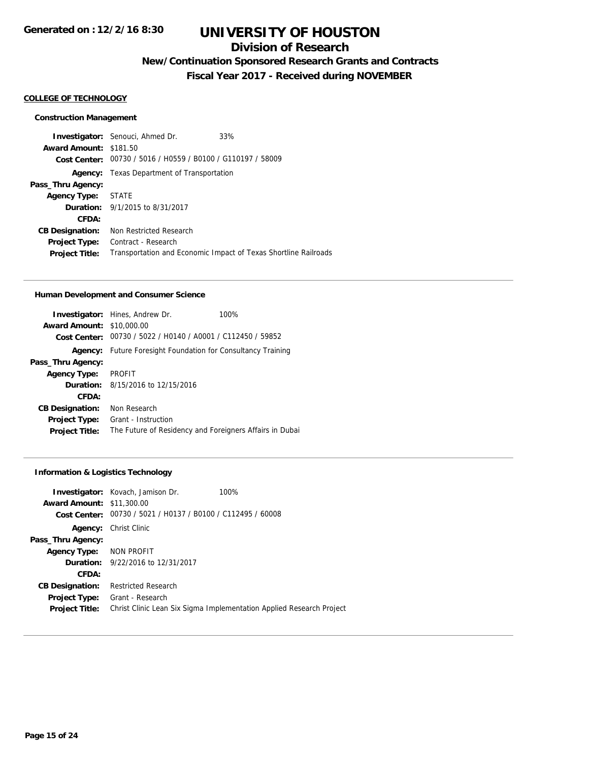## **Division of Research**

## **New/Continuation Sponsored Research Grants and Contracts**

**Fiscal Year 2017 - Received during NOVEMBER**

#### **COLLEGE OF TECHNOLOGY**

#### **Construction Management**

**Investigator:** Senouci, Ahmed Dr. 33% **Award Amount:** \$181.50 **Cost Center:** 00730 / 5016 / H0559 / B0100 / G110197 / 58009 **Agency:** Texas Department of Transportation **Pass\_Thru Agency: Agency Type:** STATE **Duration:** 9/1/2015 to 8/31/2017 **CFDA: CB Designation:** Non Restricted Research **Project Type:** Contract - Research Project Title: Transportation and Economic Impact of Texas Shortline Railroads

#### **Human Development and Consumer Science**

|                                  | <b>Investigator:</b> Hines, Andrew Dr.                              | 100% |
|----------------------------------|---------------------------------------------------------------------|------|
| <b>Award Amount: \$10,000.00</b> |                                                                     |      |
|                                  | Cost Center: 00730 / 5022 / H0140 / A0001 / C112450 / 59852         |      |
|                                  | <b>Agency:</b> Future Foresight Foundation for Consultancy Training |      |
| Pass_Thru Agency:                |                                                                     |      |
| <b>Agency Type:</b>              | <b>PROFIT</b>                                                       |      |
|                                  | <b>Duration:</b> $8/15/2016$ to $12/15/2016$                        |      |
| CFDA:                            |                                                                     |      |
| <b>CB Designation:</b>           | Non Research                                                        |      |
| <b>Project Type:</b>             | Grant - Instruction                                                 |      |
| <b>Project Title:</b>            | The Future of Residency and Foreigners Affairs in Dubai             |      |

#### **Information & Logistics Technology**

|                                  | <b>Investigator:</b> Kovach, Jamison Dr.       | 100%                                                                 |
|----------------------------------|------------------------------------------------|----------------------------------------------------------------------|
| <b>Award Amount: \$11,300.00</b> |                                                |                                                                      |
| Cost Center:                     | 00730 / 5021 / H0137 / B0100 / C112495 / 60008 |                                                                      |
| Agency:                          | Christ Clinic                                  |                                                                      |
| Pass_Thru Agency:                |                                                |                                                                      |
| Agency Type: NON PROFIT          |                                                |                                                                      |
|                                  | <b>Duration:</b> 9/22/2016 to 12/31/2017       |                                                                      |
| CFDA:                            |                                                |                                                                      |
| <b>CB Designation:</b>           | <b>Restricted Research</b>                     |                                                                      |
| <b>Project Type:</b>             | Grant - Research                               |                                                                      |
| <b>Project Title:</b>            |                                                | Christ Clinic Lean Six Sigma Implementation Applied Research Project |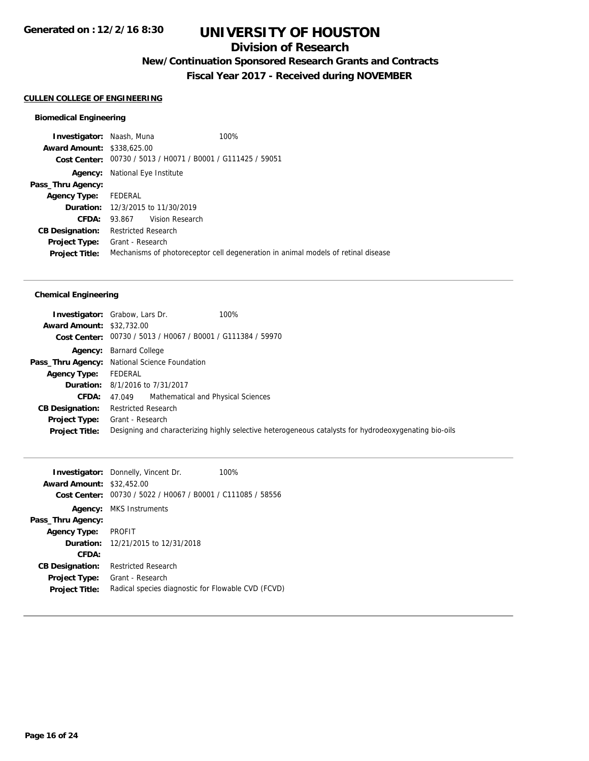## **Division of Research**

## **New/Continuation Sponsored Research Grants and Contracts**

**Fiscal Year 2017 - Received during NOVEMBER**

## **CULLEN COLLEGE OF ENGINEERING**

## **Biomedical Engineering**

| <b>Award Amount: \$338,625.00</b><br>Cost Center: 00730 / 5013 / H0071 / B0001 / G111425 / 59051<br>National Eye Institute<br>Agency:<br>Pass_Thru Agency:<br>FEDERAL<br><b>Agency Type:</b><br><b>Duration:</b> 12/3/2015 to 11/30/2019<br>93.867 Vision Research<br>CFDA:<br>Restricted Research<br><b>CB Designation:</b><br>Grant - Research<br><b>Project Type:</b><br>Mechanisms of photoreceptor cell degeneration in animal models of retinal disease<br><b>Project Title:</b> | <b>Investigator: Naash, Muna</b> |  | 100% |
|----------------------------------------------------------------------------------------------------------------------------------------------------------------------------------------------------------------------------------------------------------------------------------------------------------------------------------------------------------------------------------------------------------------------------------------------------------------------------------------|----------------------------------|--|------|
|                                                                                                                                                                                                                                                                                                                                                                                                                                                                                        |                                  |  |      |
|                                                                                                                                                                                                                                                                                                                                                                                                                                                                                        |                                  |  |      |
|                                                                                                                                                                                                                                                                                                                                                                                                                                                                                        |                                  |  |      |
|                                                                                                                                                                                                                                                                                                                                                                                                                                                                                        |                                  |  |      |
|                                                                                                                                                                                                                                                                                                                                                                                                                                                                                        |                                  |  |      |
|                                                                                                                                                                                                                                                                                                                                                                                                                                                                                        |                                  |  |      |
|                                                                                                                                                                                                                                                                                                                                                                                                                                                                                        |                                  |  |      |
|                                                                                                                                                                                                                                                                                                                                                                                                                                                                                        |                                  |  |      |
|                                                                                                                                                                                                                                                                                                                                                                                                                                                                                        |                                  |  |      |
|                                                                                                                                                                                                                                                                                                                                                                                                                                                                                        |                                  |  |      |

#### **Chemical Engineering**

| <b>Award Amount: \$32,732.00</b> | 100%<br><b>Investigator:</b> Grabow, Lars Dr.<br>Cost Center: 00730 / 5013 / H0067 / B0001 / G111384 / 59970                                   |
|----------------------------------|------------------------------------------------------------------------------------------------------------------------------------------------|
|                                  | Agency: Barnard College                                                                                                                        |
|                                  | Pass_Thru Agency: National Science Foundation                                                                                                  |
| <b>Agency Type:</b> FEDERAL      |                                                                                                                                                |
|                                  | <b>Duration:</b> 8/1/2016 to 7/31/2017                                                                                                         |
|                                  | <b>CFDA:</b> 47.049 Mathematical and Physical Sciences                                                                                         |
| <b>CB Designation:</b>           | <b>Restricted Research</b>                                                                                                                     |
| <b>Project Title:</b>            | <b>Project Type:</b> Grant - Research<br>Designing and characterizing highly selective heterogeneous catalysts for hydrodeoxygenating bio-oils |

|                        | <b>Investigator:</b> Donnelly, Vincent Dr.         | 100% |
|------------------------|----------------------------------------------------|------|
| <b>Award Amount:</b>   | \$32,452.00                                        |      |
| Cost Center:           | 00730 / 5022 / H0067 / B0001 / C111085 / 58556     |      |
| Agency:                | MKS Instruments                                    |      |
| Pass_Thru Agency:      |                                                    |      |
| <b>Agency Type:</b>    | <b>PROFIT</b>                                      |      |
|                        | <b>Duration:</b> 12/21/2015 to 12/31/2018          |      |
| CFDA:                  |                                                    |      |
| <b>CB Designation:</b> | <b>Restricted Research</b>                         |      |
| <b>Project Type:</b>   | Grant - Research                                   |      |
| <b>Project Title:</b>  | Radical species diagnostic for Flowable CVD (FCVD) |      |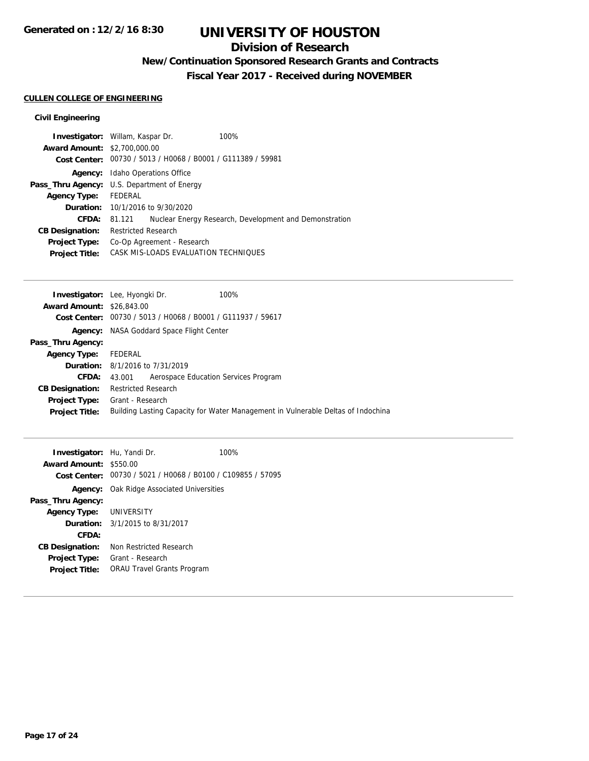## **Division of Research**

## **New/Continuation Sponsored Research Grants and Contracts**

**Fiscal Year 2017 - Received during NOVEMBER**

## **CULLEN COLLEGE OF ENGINEERING**

## **Civil Engineering**

| <b>Investigator:</b> Willam, Kaspar Dr. |                                                    |                                                             | 100%                                                   |
|-----------------------------------------|----------------------------------------------------|-------------------------------------------------------------|--------------------------------------------------------|
| <b>Award Amount: \$2,700,000.00</b>     |                                                    |                                                             |                                                        |
|                                         |                                                    | Cost Center: 00730 / 5013 / H0068 / B0001 / G111389 / 59981 |                                                        |
|                                         | <b>Agency:</b> Idaho Operations Office             |                                                             |                                                        |
|                                         | <b>Pass_Thru Agency:</b> U.S. Department of Energy |                                                             |                                                        |
| Agency Type: FEDERAL                    |                                                    |                                                             |                                                        |
|                                         | <b>Duration:</b> 10/1/2016 to 9/30/2020            |                                                             |                                                        |
| CFDA:                                   | 81.121                                             |                                                             | Nuclear Energy Research, Development and Demonstration |
| <b>CB Designation:</b>                  | <b>Restricted Research</b>                         |                                                             |                                                        |
| <b>Project Type:</b>                    | Co-Op Agreement - Research                         |                                                             |                                                        |
| <b>Project Title:</b>                   | CASK MIS-LOADS EVALUATION TECHNIQUES               |                                                             |                                                        |

| Investigator: Lee, Hyongki Dr.   |                                        |                                                | 100%                                                                             |
|----------------------------------|----------------------------------------|------------------------------------------------|----------------------------------------------------------------------------------|
| <b>Award Amount: \$26,843,00</b> |                                        |                                                |                                                                                  |
| Cost Center:                     |                                        | 00730 / 5013 / H0068 / B0001 / G111937 / 59617 |                                                                                  |
| Agency:                          |                                        | NASA Goddard Space Flight Center               |                                                                                  |
| Pass_Thru Agency:                |                                        |                                                |                                                                                  |
| <b>Agency Type:</b>              | FEDERAL                                |                                                |                                                                                  |
|                                  | <b>Duration:</b> 8/1/2016 to 7/31/2019 |                                                |                                                                                  |
| CFDA:                            | 43.001                                 | Aerospace Education Services Program           |                                                                                  |
| <b>CB Designation:</b>           | <b>Restricted Research</b>             |                                                |                                                                                  |
| <b>Project Type:</b>             | Grant - Research                       |                                                |                                                                                  |
| <b>Project Title:</b>            |                                        |                                                | Building Lasting Capacity for Water Management in Vulnerable Deltas of Indochina |
|                                  |                                        |                                                |                                                                                  |

| <b>Investigator:</b> Hu, Yandi Dr. |                                                             | 100% |
|------------------------------------|-------------------------------------------------------------|------|
| Award Amount: \$550.00             |                                                             |      |
|                                    | Cost Center: 00730 / 5021 / H0068 / B0100 / C109855 / 57095 |      |
|                                    | <b>Agency:</b> Oak Ridge Associated Universities            |      |
| Pass_Thru Agency:                  |                                                             |      |
| <b>Agency Type: UNIVERSITY</b>     |                                                             |      |
|                                    | <b>Duration:</b> $3/1/2015$ to $8/31/2017$                  |      |
| CFDA:                              |                                                             |      |
| <b>CB Designation:</b>             | Non Restricted Research                                     |      |
| <b>Project Type:</b>               | Grant - Research                                            |      |
| <b>Project Title:</b>              | <b>ORAU Travel Grants Program</b>                           |      |
|                                    |                                                             |      |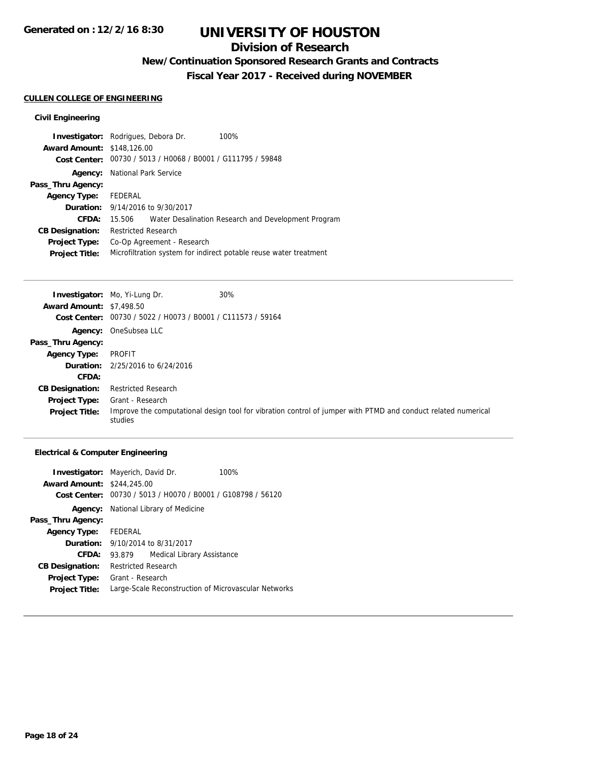## **Division of Research**

## **New/Continuation Sponsored Research Grants and Contracts**

**Fiscal Year 2017 - Received during NOVEMBER**

## **CULLEN COLLEGE OF ENGINEERING**

## **Civil Engineering**

| <b>Investigator:</b> Rodrigues, Debora Dr. |                                                                   |                                                             | 100%                                                |  |
|--------------------------------------------|-------------------------------------------------------------------|-------------------------------------------------------------|-----------------------------------------------------|--|
| <b>Award Amount: \$148,126.00</b>          |                                                                   |                                                             |                                                     |  |
|                                            |                                                                   | Cost Center: 00730 / 5013 / H0068 / B0001 / G111795 / 59848 |                                                     |  |
| Agency:                                    |                                                                   | National Park Service                                       |                                                     |  |
| Pass_Thru Agency:                          |                                                                   |                                                             |                                                     |  |
| <b>Agency Type:</b>                        | FEDERAL                                                           |                                                             |                                                     |  |
|                                            | <b>Duration:</b> 9/14/2016 to 9/30/2017                           |                                                             |                                                     |  |
| CFDA:                                      | 15.506                                                            |                                                             | Water Desalination Research and Development Program |  |
| <b>CB Designation:</b>                     | <b>Restricted Research</b>                                        |                                                             |                                                     |  |
| <b>Project Type:</b>                       | Co-Op Agreement - Research                                        |                                                             |                                                     |  |
| <b>Project Title:</b>                      | Microfiltration system for indirect potable reuse water treatment |                                                             |                                                     |  |

|                                 | <b>Investigator:</b> Mo, Yi-Lung Dr.                        | 30%                                                                                                           |
|---------------------------------|-------------------------------------------------------------|---------------------------------------------------------------------------------------------------------------|
| <b>Award Amount: \$7,498.50</b> |                                                             |                                                                                                               |
|                                 | Cost Center: 00730 / 5022 / H0073 / B0001 / C111573 / 59164 |                                                                                                               |
|                                 | Agency: OneSubsea LLC                                       |                                                                                                               |
| Pass_Thru Agency:               |                                                             |                                                                                                               |
| <b>Agency Type:</b>             | PROFIT                                                      |                                                                                                               |
|                                 | <b>Duration:</b> $2/25/2016$ to $6/24/2016$                 |                                                                                                               |
| CFDA:                           |                                                             |                                                                                                               |
| <b>CB Designation:</b>          | <b>Restricted Research</b>                                  |                                                                                                               |
| <b>Project Type:</b>            | Grant - Research                                            |                                                                                                               |
| <b>Project Title:</b>           | studies                                                     | Improve the computational design tool for vibration control of jumper with PTMD and conduct related numerical |

## **Electrical & Computer Engineering**

|                                   | <b>Investigator:</b> Mayerich, David Dr.<br>100%            |  |
|-----------------------------------|-------------------------------------------------------------|--|
| <b>Award Amount: \$244,245.00</b> |                                                             |  |
|                                   | Cost Center: 00730 / 5013 / H0070 / B0001 / G108798 / 56120 |  |
|                                   | <b>Agency:</b> National Library of Medicine                 |  |
| Pass_Thru Agency:                 |                                                             |  |
| Agency Type: FEDERAL              |                                                             |  |
|                                   | <b>Duration:</b> 9/10/2014 to 8/31/2017                     |  |
| CFDA:                             | Medical Library Assistance<br>93.879                        |  |
| <b>CB Designation:</b>            | <b>Restricted Research</b>                                  |  |
| Project Type:                     | Grant - Research                                            |  |
| <b>Project Title:</b>             | Large-Scale Reconstruction of Microvascular Networks        |  |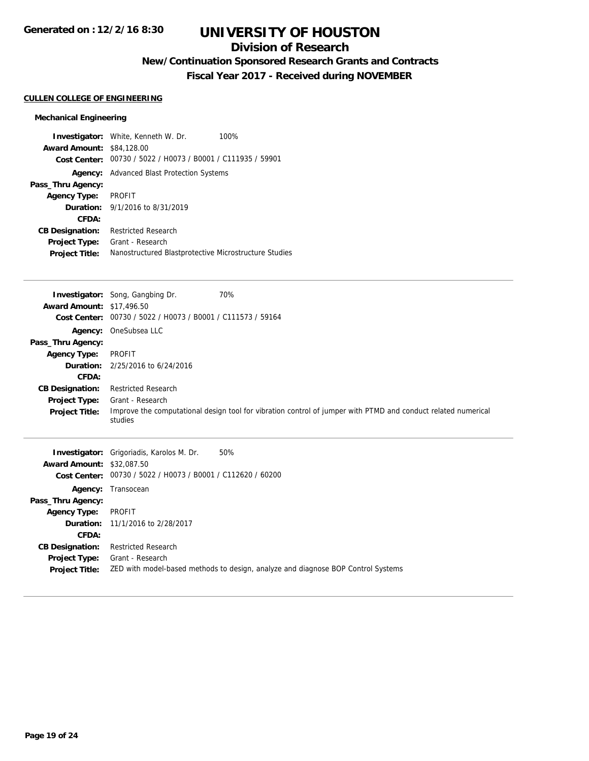## **Division of Research**

## **New/Continuation Sponsored Research Grants and Contracts**

**Fiscal Year 2017 - Received during NOVEMBER**

#### **CULLEN COLLEGE OF ENGINEERING**

## **Mechanical Engineering**

| <b>Award Amount: \$84,128,00</b> | <b>Investigator:</b> White, Kenneth W. Dr.<br>100%          |
|----------------------------------|-------------------------------------------------------------|
|                                  | Cost Center: 00730 / 5022 / H0073 / B0001 / C111935 / 59901 |
| Agency:                          | Advanced Blast Protection Systems                           |
| Pass_Thru Agency:                |                                                             |
| <b>Agency Type:</b>              | PROFIT                                                      |
|                                  | <b>Duration:</b> 9/1/2016 to 8/31/2019                      |
| CFDA:                            |                                                             |
| <b>CB Designation:</b>           | <b>Restricted Research</b>                                  |
| <b>Project Type:</b>             | Grant - Research                                            |
| <b>Project Title:</b>            | Nanostructured Blastprotective Microstructure Studies       |

| <b>Award Amount: \$17,496.50</b>                                                                                             | Investigator: Song, Gangbing Dr.<br>Cost Center: 00730 / 5022 / H0073 / B0001 / C111573 / 59164                                     | 70%                                                                                                           |
|------------------------------------------------------------------------------------------------------------------------------|-------------------------------------------------------------------------------------------------------------------------------------|---------------------------------------------------------------------------------------------------------------|
| Pass_Thru Agency:<br><b>Agency Type:</b><br>CFDA:<br><b>CB Designation:</b><br><b>Project Type:</b><br><b>Project Title:</b> | Agency: OneSubsea LLC<br><b>PROFIT</b><br><b>Duration:</b> 2/25/2016 to 6/24/2016<br><b>Restricted Research</b><br>Grant - Research | Improve the computational design tool for vibration control of jumper with PTMD and conduct related numerical |
|                                                                                                                              | studies                                                                                                                             |                                                                                                               |
| <b>Award Amount: \$32,087.50</b>                                                                                             | <b>Investigator:</b> Grigoriadis, Karolos M. Dr.<br>Cost Center: 00730 / 5022 / H0073 / B0001 / C112620 / 60200                     | 50%                                                                                                           |
| Agency:<br>Pass_Thru Agency:<br><b>Agency Type:</b><br>CFDA:                                                                 | Transocean<br>PROFIT<br><b>Duration:</b> 11/1/2016 to 2/28/2017                                                                     |                                                                                                               |

**Project Title:** ZED with model-based methods to design, analyze and diagnose BOP Control Systems

**CB Designation:** Restricted Research **Project Type:** Grant - Research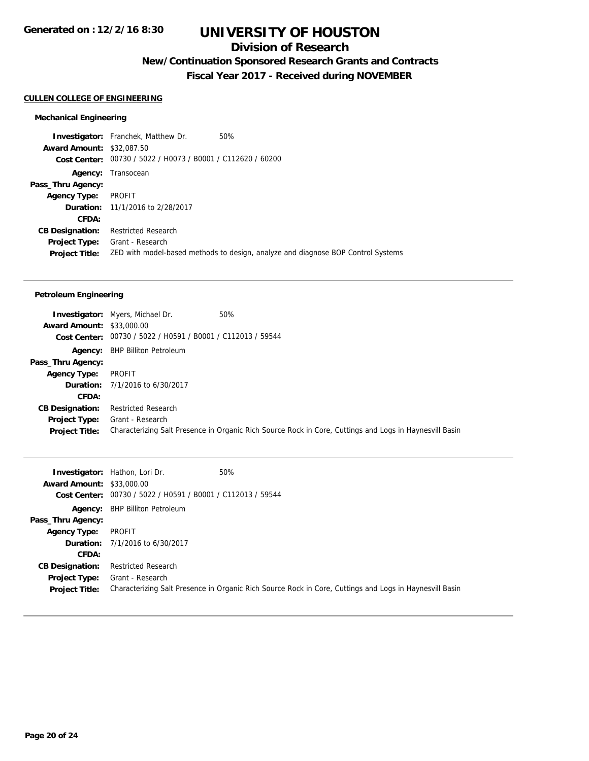## **Division of Research**

## **New/Continuation Sponsored Research Grants and Contracts**

**Fiscal Year 2017 - Received during NOVEMBER**

#### **CULLEN COLLEGE OF ENGINEERING**

#### **Mechanical Engineering**

**Investigator:** Franchek, Matthew Dr. 50% **Award Amount:** \$32,087.50 **Cost Center:** 00730 / 5022 / H0073 / B0001 / C112620 / 60200 **Agency:** Transocean **Pass\_Thru Agency: Agency Type:** PROFIT **Duration:** 11/1/2016 to 2/28/2017 **CFDA: CB Designation:** Restricted Research **Project Type:** Grant - Research **Project Title:** ZED with model-based methods to design, analyze and diagnose BOP Control Systems

#### **Petroleum Engineering**

|                                  | <b>Investigator:</b> Myers, Michael Dr.                     | 50%                                                                                                     |
|----------------------------------|-------------------------------------------------------------|---------------------------------------------------------------------------------------------------------|
| <b>Award Amount: \$33,000.00</b> |                                                             |                                                                                                         |
|                                  | Cost Center: 00730 / 5022 / H0591 / B0001 / C112013 / 59544 |                                                                                                         |
|                                  | <b>Agency:</b> BHP Billiton Petroleum                       |                                                                                                         |
| Pass_Thru Agency:                |                                                             |                                                                                                         |
| Agency Type:                     | PROFIT                                                      |                                                                                                         |
|                                  | <b>Duration:</b> 7/1/2016 to 6/30/2017                      |                                                                                                         |
| <b>CFDA:</b>                     |                                                             |                                                                                                         |
| <b>CB Designation:</b>           | <b>Restricted Research</b>                                  |                                                                                                         |
| <b>Project Type:</b>             | Grant - Research                                            |                                                                                                         |
| <b>Project Title:</b>            |                                                             | Characterizing Salt Presence in Organic Rich Source Rock in Core, Cuttings and Logs in Haynesvill Basin |

|                                  | <b>Investigator:</b> Hathon, Lori Dr.                       | 50%                                                                                                     |
|----------------------------------|-------------------------------------------------------------|---------------------------------------------------------------------------------------------------------|
| <b>Award Amount: \$33,000.00</b> |                                                             |                                                                                                         |
|                                  | Cost Center: 00730 / 5022 / H0591 / B0001 / C112013 / 59544 |                                                                                                         |
|                                  | <b>Agency:</b> BHP Billiton Petroleum                       |                                                                                                         |
| Pass_Thru Agency:                |                                                             |                                                                                                         |
| <b>Agency Type:</b>              | PROFIT                                                      |                                                                                                         |
|                                  | <b>Duration:</b> 7/1/2016 to 6/30/2017                      |                                                                                                         |
| <b>CFDA:</b>                     |                                                             |                                                                                                         |
| <b>CB Designation:</b>           | <b>Restricted Research</b>                                  |                                                                                                         |
| Project Type:                    | Grant - Research                                            |                                                                                                         |
| <b>Project Title:</b>            |                                                             | Characterizing Salt Presence in Organic Rich Source Rock in Core, Cuttings and Logs in Haynesvill Basin |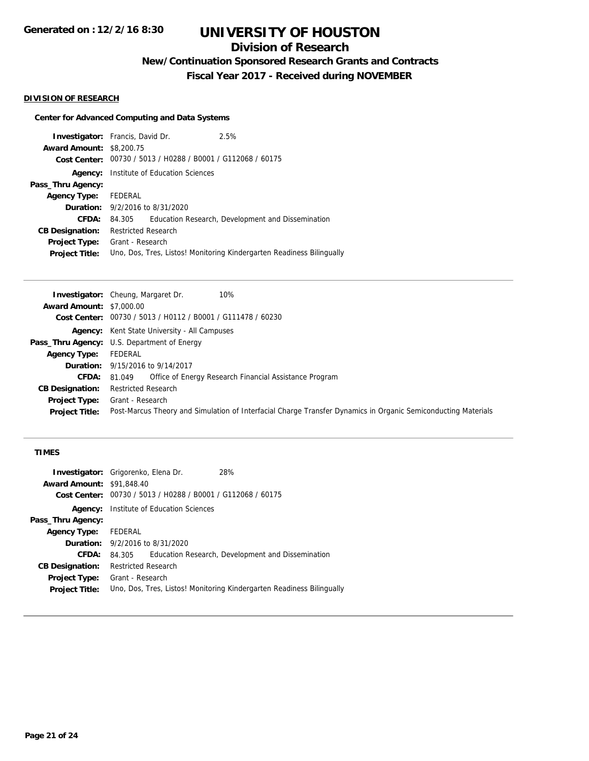## **Division of Research**

**New/Continuation Sponsored Research Grants and Contracts**

**Fiscal Year 2017 - Received during NOVEMBER**

### **DIVISION OF RESEARCH**

## **Center for Advanced Computing and Data Systems**

| <b>Investigator:</b> Francis, David Dr. |                                                             |                                        | 2.5%                                                                  |  |
|-----------------------------------------|-------------------------------------------------------------|----------------------------------------|-----------------------------------------------------------------------|--|
| <b>Award Amount: \$8,200.75</b>         |                                                             |                                        |                                                                       |  |
|                                         | Cost Center: 00730 / 5013 / H0288 / B0001 / G112068 / 60175 |                                        |                                                                       |  |
|                                         | <b>Agency:</b> Institute of Education Sciences              |                                        |                                                                       |  |
| Pass_Thru Agency:                       |                                                             |                                        |                                                                       |  |
| Agency Type: FEDERAL                    |                                                             |                                        |                                                                       |  |
|                                         |                                                             | <b>Duration:</b> 9/2/2016 to 8/31/2020 |                                                                       |  |
| CFDA:                                   | 84.305                                                      |                                        | Education Research, Development and Dissemination                     |  |
| <b>CB Designation:</b>                  | <b>Restricted Research</b>                                  |                                        |                                                                       |  |
| <b>Project Type:</b>                    | Grant - Research                                            |                                        |                                                                       |  |
| <b>Project Title:</b>                   |                                                             |                                        | Uno, Dos, Tres, Listos! Monitoring Kindergarten Readiness Bilingually |  |
|                                         |                                                             |                                        |                                                                       |  |

|                                 | <b>Investigator:</b> Cheung, Margaret Dr.<br>10%                                                              |
|---------------------------------|---------------------------------------------------------------------------------------------------------------|
| <b>Award Amount: \$7,000.00</b> |                                                                                                               |
|                                 | Cost Center: 00730 / 5013 / H0112 / B0001 / G111478 / 60230                                                   |
|                                 | <b>Agency:</b> Kent State University - All Campuses                                                           |
|                                 | <b>Pass_Thru Agency:</b> U.S. Department of Energy                                                            |
| Agency Type:                    | FEDERAL                                                                                                       |
|                                 | <b>Duration:</b> 9/15/2016 to 9/14/2017                                                                       |
| CFDA:                           | Office of Energy Research Financial Assistance Program<br>81.049                                              |
| <b>CB Designation:</b>          | <b>Restricted Research</b>                                                                                    |
| <b>Project Type:</b>            | Grant - Research                                                                                              |
| <b>Project Title:</b>           | Post-Marcus Theory and Simulation of Interfacial Charge Transfer Dynamics in Organic Semiconducting Materials |

## **TIMES**

|                                  | <b>Investigator:</b> Grigorenko, Elena Dr.     | 28%                                                                   |
|----------------------------------|------------------------------------------------|-----------------------------------------------------------------------|
| <b>Award Amount: \$91,848.40</b> |                                                |                                                                       |
| <b>Cost Center:</b>              | 00730 / 5013 / H0288 / B0001 / G112068 / 60175 |                                                                       |
| Agency:                          | Institute of Education Sciences                |                                                                       |
| Pass_Thru Agency:                |                                                |                                                                       |
| <b>Agency Type:</b>              | FEDERAL                                        |                                                                       |
|                                  | <b>Duration:</b> 9/2/2016 to 8/31/2020         |                                                                       |
| CFDA:                            | 84.305                                         | Education Research, Development and Dissemination                     |
| <b>CB Designation:</b>           | <b>Restricted Research</b>                     |                                                                       |
| <b>Project Type:</b>             | Grant - Research                               |                                                                       |
| <b>Project Title:</b>            |                                                | Uno, Dos, Tres, Listos! Monitoring Kindergarten Readiness Bilingually |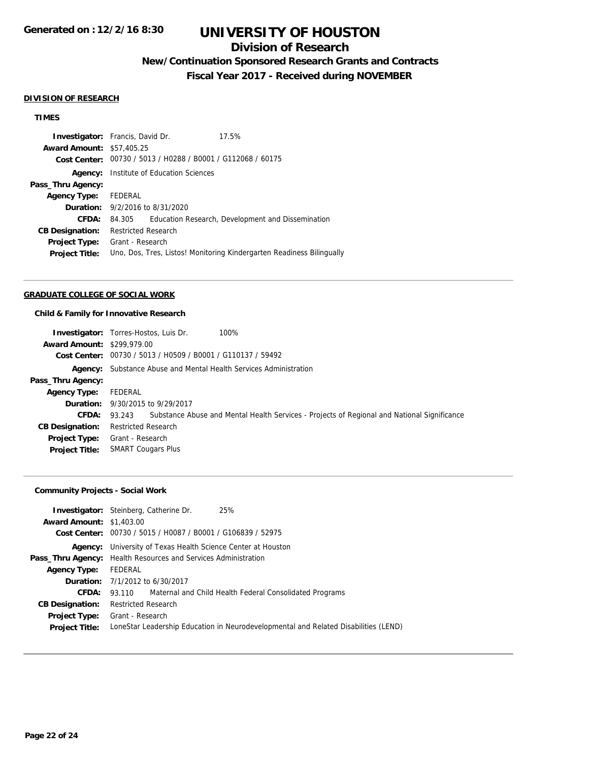## **Division of Research**

## **New/Continuation Sponsored Research Grants and Contracts**

**Fiscal Year 2017 - Received during NOVEMBER**

#### **DIVISION OF RESEARCH**

## **TIMES**

| <b>Investigator:</b> Francis, David Dr. |                                            |                                                             | 17.5%                                                                 |
|-----------------------------------------|--------------------------------------------|-------------------------------------------------------------|-----------------------------------------------------------------------|
| <b>Award Amount: \$57,405.25</b>        |                                            |                                                             |                                                                       |
|                                         |                                            | Cost Center: 00730 / 5013 / H0288 / B0001 / G112068 / 60175 |                                                                       |
|                                         |                                            | <b>Agency:</b> Institute of Education Sciences              |                                                                       |
| Pass_Thru Agency:                       |                                            |                                                             |                                                                       |
| Agency Type: FEDERAL                    |                                            |                                                             |                                                                       |
|                                         | <b>Duration:</b> $9/2/2016$ to $8/31/2020$ |                                                             |                                                                       |
| CFDA:                                   | 84.305                                     |                                                             | Education Research, Development and Dissemination                     |
| <b>CB Designation:</b>                  | Restricted Research                        |                                                             |                                                                       |
| <b>Project Type:</b>                    | Grant - Research                           |                                                             |                                                                       |
| <b>Project Title:</b>                   |                                            |                                                             | Uno, Dos, Tres, Listos! Monitoring Kindergarten Readiness Bilingually |
|                                         |                                            |                                                             |                                                                       |

#### **GRADUATE COLLEGE OF SOCIAL WORK**

#### **Child & Family for Innovative Research**

|                                   | 100%<br><b>Investigator:</b> Torres-Hostos, Luis Dr.                                               |
|-----------------------------------|----------------------------------------------------------------------------------------------------|
| <b>Award Amount: \$299,979.00</b> |                                                                                                    |
| Cost Center:                      | 00730 / 5013 / H0509 / B0001 / G110137 / 59492                                                     |
|                                   | <b>Agency:</b> Substance Abuse and Mental Health Services Administration                           |
| Pass_Thru Agency:                 |                                                                                                    |
| <b>Agency Type:</b>               | FEDERAL                                                                                            |
| <b>Duration:</b>                  | 9/30/2015 to 9/29/2017                                                                             |
| <b>CFDA:</b>                      | 93.243 Substance Abuse and Mental Health Services - Projects of Regional and National Significance |
| <b>CB Designation:</b>            | <b>Restricted Research</b>                                                                         |
| <b>Project Type:</b>              | Grant - Research                                                                                   |
| <b>Project Title:</b>             | <b>SMART Cougars Plus</b>                                                                          |

## **Community Projects - Social Work**

| <b>Award Amount: \$1,403.00</b> | <b>Investigator:</b> Steinberg, Catherine Dr.<br>Cost Center: 00730 / 5015 / H0087 / B0001 / G106839 / 52975 | 25%                                                                                 |  |
|---------------------------------|--------------------------------------------------------------------------------------------------------------|-------------------------------------------------------------------------------------|--|
|                                 | <b>Agency:</b> University of Texas Health Science Center at Houston                                          |                                                                                     |  |
|                                 | <b>Pass_Thru Agency:</b> Health Resources and Services Administration                                        |                                                                                     |  |
| <b>Agency Type:</b>             | FEDERAL                                                                                                      |                                                                                     |  |
|                                 | <b>Duration:</b> 7/1/2012 to 6/30/2017                                                                       |                                                                                     |  |
| <b>CFDA:</b>                    |                                                                                                              | 93.110 Maternal and Child Health Federal Consolidated Programs                      |  |
| <b>CB Designation:</b>          | <b>Restricted Research</b>                                                                                   |                                                                                     |  |
|                                 | <b>Project Type:</b> Grant - Research                                                                        |                                                                                     |  |
| <b>Project Title:</b>           |                                                                                                              | LoneStar Leadership Education in Neurodevelopmental and Related Disabilities (LEND) |  |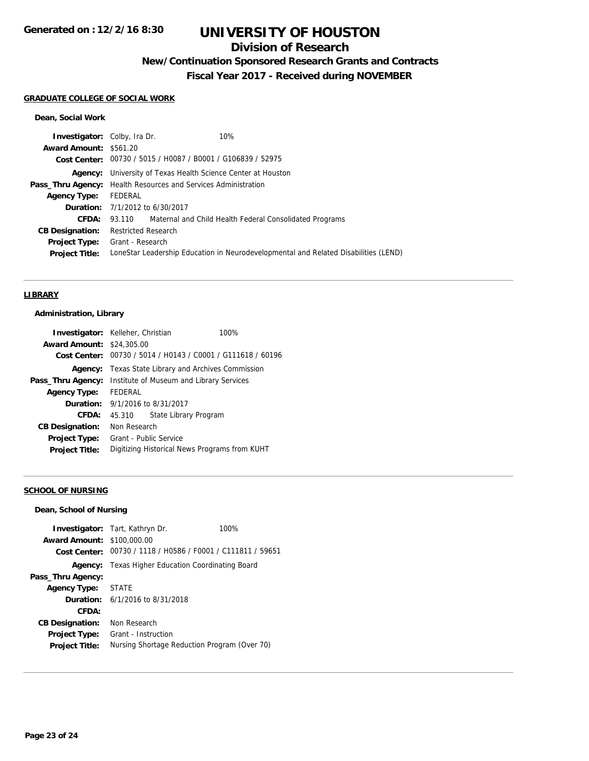## **Division of Research**

**New/Continuation Sponsored Research Grants and Contracts**

**Fiscal Year 2017 - Received during NOVEMBER**

#### **GRADUATE COLLEGE OF SOCIAL WORK**

#### **Dean, Social Work**

| <b>Investigator:</b> Colby, Ira Dr. |                                                                       | 10%                                                                                 |
|-------------------------------------|-----------------------------------------------------------------------|-------------------------------------------------------------------------------------|
| <b>Award Amount: \$561.20</b>       |                                                                       |                                                                                     |
|                                     | Cost Center: 00730 / 5015 / H0087 / B0001 / G106839 / 52975           |                                                                                     |
|                                     | <b>Agency:</b> University of Texas Health Science Center at Houston   |                                                                                     |
|                                     | <b>Pass_Thru Agency:</b> Health Resources and Services Administration |                                                                                     |
| <b>Agency Type:</b>                 | FEDERAL                                                               |                                                                                     |
|                                     | <b>Duration:</b> 7/1/2012 to 6/30/2017                                |                                                                                     |
| CFDA:                               |                                                                       | 93.110 Maternal and Child Health Federal Consolidated Programs                      |
| <b>CB Designation:</b>              | <b>Restricted Research</b>                                            |                                                                                     |
|                                     | <b>Project Type:</b> Grant - Research                                 |                                                                                     |
| <b>Project Title:</b>               |                                                                       | LoneStar Leadership Education in Neurodevelopmental and Related Disabilities (LEND) |
|                                     |                                                                       |                                                                                     |

#### **LIBRARY**

## **Administration, Library**

| <b>Investigator:</b> Kelleher, Christian |                                                             |                       | 100% |
|------------------------------------------|-------------------------------------------------------------|-----------------------|------|
| <b>Award Amount: \$24,305.00</b>         |                                                             |                       |      |
|                                          | Cost Center: 00730 / 5014 / H0143 / C0001 / G111618 / 60196 |                       |      |
| Agency:                                  | Texas State Library and Archives Commission                 |                       |      |
| Pass_Thru Agency:                        | Institute of Museum and Library Services                    |                       |      |
| <b>Agency Type:</b>                      | FEDERAL                                                     |                       |      |
|                                          | <b>Duration:</b> $9/1/2016$ to $8/31/2017$                  |                       |      |
| CFDA:                                    | 45.310                                                      | State Library Program |      |
| <b>CB Designation:</b>                   | Non Research                                                |                       |      |
| <b>Project Type:</b>                     | Grant - Public Service                                      |                       |      |
| <b>Project Title:</b>                    | Digitizing Historical News Programs from KUHT               |                       |      |

## **SCHOOL OF NURSING**

#### **Dean, School of Nursing**

| <b>Award Amount: \$100,000.00</b>             | <b>Investigator:</b> Tart, Kathryn Dr.<br>Cost Center: 00730 / 1118 / H0586 / F0001 / C111811 / 59651 | 100% |
|-----------------------------------------------|-------------------------------------------------------------------------------------------------------|------|
| Agency:                                       | Texas Higher Education Coordinating Board                                                             |      |
| Pass_Thru Agency:                             |                                                                                                       |      |
| <b>Agency Type:</b>                           | <b>STATE</b>                                                                                          |      |
|                                               | <b>Duration:</b> $6/1/2016$ to $8/31/2018$                                                            |      |
| CFDA:                                         |                                                                                                       |      |
| <b>CB Designation:</b>                        | Non Research                                                                                          |      |
| <b>Project Type:</b><br><b>Project Title:</b> | Grant - Instruction<br>Nursing Shortage Reduction Program (Over 70)                                   |      |